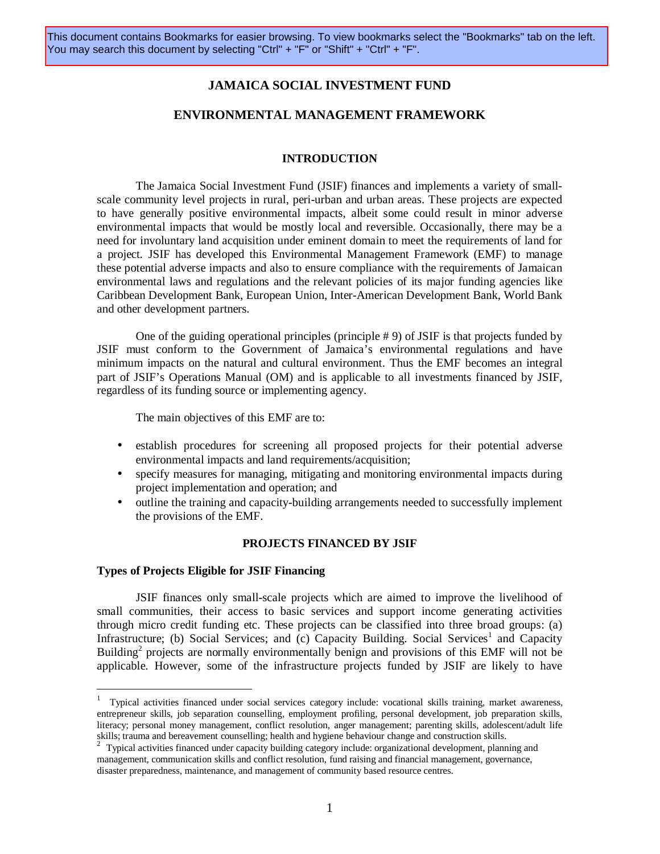## **JAMAICA SOCIAL INVESTMENT FUND**

## **ENVIRONMENTAL MANAGEMENT FRAMEWORK**

### **INTRODUCTION**

The Jamaica Social Investment Fund (JSIF) finances and implements a variety of smallscale community level projects in rural, peri-urban and urban areas. These projects are expected to have generally positive environmental impacts, albeit some could result in minor adverse environmental impacts that would be mostly local and reversible. Occasionally, there may be a need for involuntary land acquisition under eminent domain to meet the requirements of land for a project. JSIF has developed this Environmental Management Framework (EMF) to manage these potential adverse impacts and also to ensure compliance with the requirements of Jamaican environmental laws and regulations and the relevant policies of its major funding agencies like Caribbean Development Bank, European Union, Inter-American Development Bank, World Bank and other development partners.

One of the guiding operational principles (principle # 9) of JSIF is that projects funded by JSIF must conform to the Government of Jamaica's environmental regulations and have minimum impacts on the natural and cultural environment. Thus the EMF becomes an integral part of JSIF's Operations Manual (OM) and is applicable to all investments financed by JSIF, regardless of its funding source or implementing agency.

The main objectives of this EMF are to:

- establish procedures for screening all proposed projects for their potential adverse environmental impacts and land requirements/acquisition;
- specify measures for managing, mitigating and monitoring environmental impacts during project implementation and operation; and
- outline the training and capacity-building arrangements needed to successfully implement the provisions of the EMF.

### **PROJECTS FINANCED BY JSIF**

### **Types of Projects Eligible for JSIF Financing**

JSIF finances only small-scale projects which are aimed to improve the livelihood of small communities, their access to basic services and support income generating activities through micro credit funding etc. These projects can be classified into three broad groups: (a) Infrastructure; (b) Social Services; and (c) Capacity Building. Social Services<sup>1</sup> and Capacity Building<sup>2</sup> projects are normally environmentally benign and provisions of this EMF will not be applicable. However, some of the infrastructure projects funded by JSIF are likely to have

<sup>1</sup> Typical activities financed under social services category include: vocational skills training, market awareness, entrepreneur skills, job separation counselling, employment profiling, personal development, job preparation skills, literacy; personal money management, conflict resolution, anger management; parenting skills, adolescent/adult life skills; trauma and bereavement counselling; health and hygiene behaviour change and construction skills.

<sup>&</sup>lt;sup>2</sup> Typical activities financed under capacity building category include: organizational development, planning and management, communication skills and conflict resolution, fund raising and financial management, governance, disaster preparedness, maintenance, and management of community based resource centres.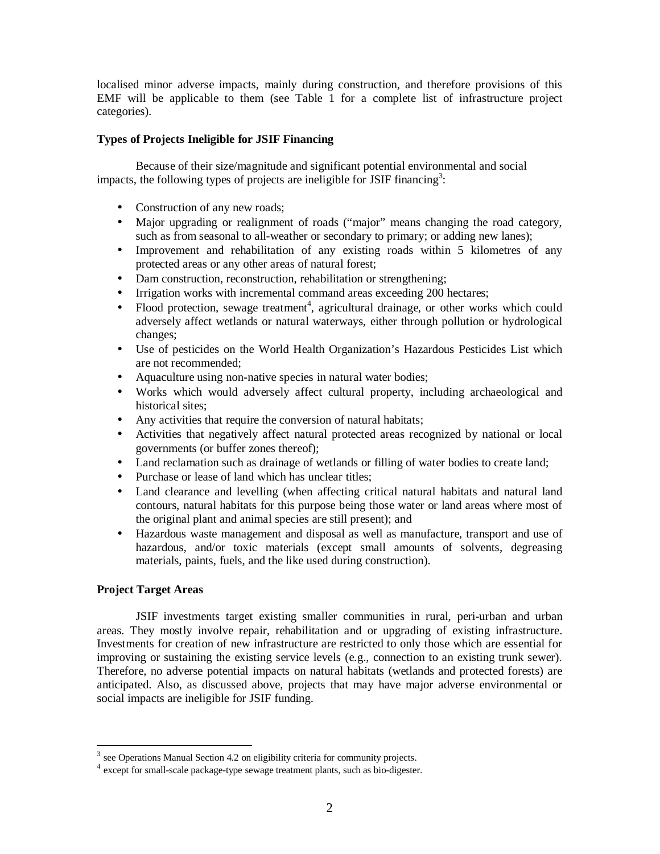localised minor adverse impacts, mainly during construction, and therefore provisions of this EMF will be applicable to them (see Table 1 for a complete list of infrastructure project categories).

## **Types of Projects Ineligible for JSIF Financing**

Because of their size/magnitude and significant potential environmental and social impacts, the following types of projects are ineligible for JSIF financing<sup>3</sup>:

- Construction of any new roads;
- Major upgrading or realignment of roads ("major" means changing the road category, such as from seasonal to all-weather or secondary to primary; or adding new lanes);
- Improvement and rehabilitation of any existing roads within 5 kilometres of any protected areas or any other areas of natural forest;
- Dam construction, reconstruction, rehabilitation or strengthening;
- Irrigation works with incremental command areas exceeding 200 hectares;
- Flood protection, sewage treatment<sup>4</sup>, agricultural drainage, or other works which could adversely affect wetlands or natural waterways, either through pollution or hydrological changes;
- Use of pesticides on the World Health Organization's Hazardous Pesticides List which are not recommended;
- Aquaculture using non-native species in natural water bodies;
- Works which would adversely affect cultural property, including archaeological and historical sites;
- Any activities that require the conversion of natural habitats;
- Activities that negatively affect natural protected areas recognized by national or local governments (or buffer zones thereof);
- Land reclamation such as drainage of wetlands or filling of water bodies to create land;
- Purchase or lease of land which has unclear titles;
- Land clearance and levelling (when affecting critical natural habitats and natural land contours, natural habitats for this purpose being those water or land areas where most of the original plant and animal species are still present); and
- Hazardous waste management and disposal as well as manufacture, transport and use of hazardous, and/or toxic materials (except small amounts of solvents, degreasing materials, paints, fuels, and the like used during construction).

## **Project Target Areas**

JSIF investments target existing smaller communities in rural, peri-urban and urban areas. They mostly involve repair, rehabilitation and or upgrading of existing infrastructure. Investments for creation of new infrastructure are restricted to only those which are essential for improving or sustaining the existing service levels (e.g., connection to an existing trunk sewer). Therefore, no adverse potential impacts on natural habitats (wetlands and protected forests) are anticipated. Also, as discussed above, projects that may have major adverse environmental or social impacts are ineligible for JSIF funding.

 $3$  see Operations Manual Section 4.2 on eligibility criteria for community projects.

<sup>&</sup>lt;sup>4</sup> except for small-scale package-type sewage treatment plants, such as bio-digester.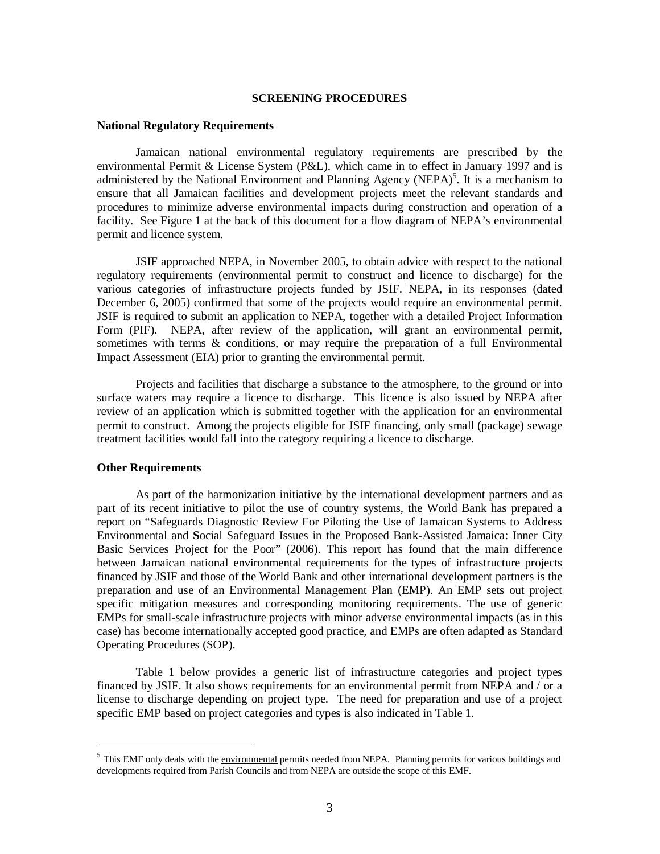### **SCREENING PROCEDURES**

### **National Regulatory Requirements**

 Jamaican national environmental regulatory requirements are prescribed by the environmental Permit & License System (P&L), which came in to effect in January 1997 and is administered by the National Environment and Planning Agency (NEPA)<sup>5</sup>. It is a mechanism to ensure that all Jamaican facilities and development projects meet the relevant standards and procedures to minimize adverse environmental impacts during construction and operation of a facility. See Figure 1 at the back of this document for a flow diagram of NEPA's environmental permit and licence system.

 JSIF approached NEPA, in November 2005, to obtain advice with respect to the national regulatory requirements (environmental permit to construct and licence to discharge) for the various categories of infrastructure projects funded by JSIF. NEPA, in its responses (dated December 6, 2005) confirmed that some of the projects would require an environmental permit. JSIF is required to submit an application to NEPA, together with a detailed Project Information Form (PIF). NEPA, after review of the application, will grant an environmental permit, sometimes with terms & conditions, or may require the preparation of a full Environmental Impact Assessment (EIA) prior to granting the environmental permit.

 Projects and facilities that discharge a substance to the atmosphere, to the ground or into surface waters may require a licence to discharge. This licence is also issued by NEPA after review of an application which is submitted together with the application for an environmental permit to construct. Among the projects eligible for JSIF financing, only small (package) sewage treatment facilities would fall into the category requiring a licence to discharge.

## **Other Requirements**

As part of the harmonization initiative by the international development partners and as part of its recent initiative to pilot the use of country systems, the World Bank has prepared a report on "Safeguards Diagnostic Review For Piloting the Use of Jamaican Systems to Address Environmental and **S**ocial Safeguard Issues in the Proposed Bank-Assisted Jamaica: Inner City Basic Services Project for the Poor" (2006). This report has found that the main difference between Jamaican national environmental requirements for the types of infrastructure projects financed by JSIF and those of the World Bank and other international development partners is the preparation and use of an Environmental Management Plan (EMP). An EMP sets out project specific mitigation measures and corresponding monitoring requirements. The use of generic EMPs for small-scale infrastructure projects with minor adverse environmental impacts (as in this case) has become internationally accepted good practice, and EMPs are often adapted as Standard Operating Procedures (SOP).

Table 1 below provides a generic list of infrastructure categories and project types financed by JSIF. It also shows requirements for an environmental permit from NEPA and / or a license to discharge depending on project type. The need for preparation and use of a project specific EMP based on project categories and types is also indicated in Table 1.

<sup>&</sup>lt;sup>5</sup> This EMF only deals with the environmental permits needed from NEPA. Planning permits for various buildings and developments required from Parish Councils and from NEPA are outside the scope of this EMF.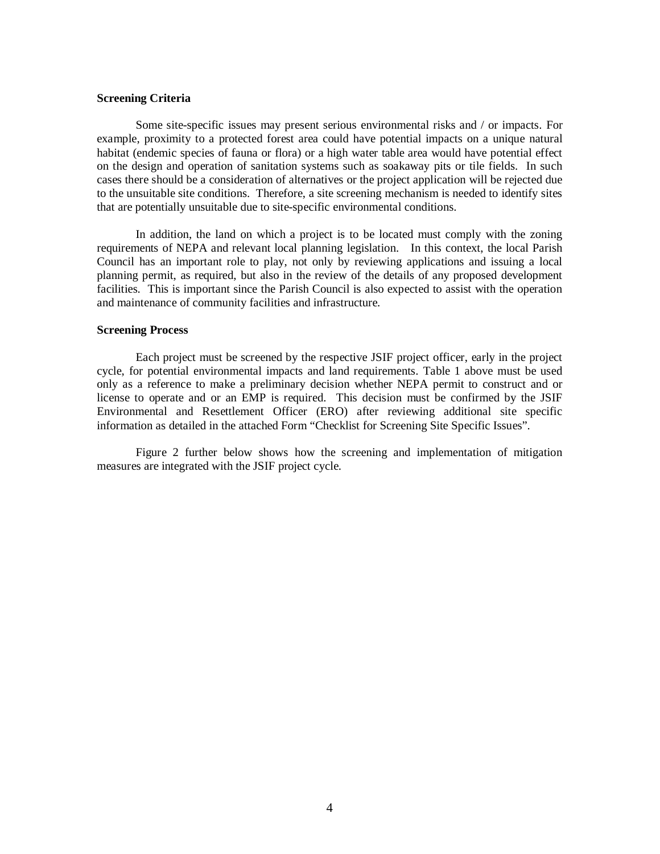### **Screening Criteria**

Some site-specific issues may present serious environmental risks and / or impacts. For example, proximity to a protected forest area could have potential impacts on a unique natural habitat (endemic species of fauna or flora) or a high water table area would have potential effect on the design and operation of sanitation systems such as soakaway pits or tile fields. In such cases there should be a consideration of alternatives or the project application will be rejected due to the unsuitable site conditions. Therefore, a site screening mechanism is needed to identify sites that are potentially unsuitable due to site-specific environmental conditions.

In addition, the land on which a project is to be located must comply with the zoning requirements of NEPA and relevant local planning legislation. In this context, the local Parish Council has an important role to play, not only by reviewing applications and issuing a local planning permit, as required, but also in the review of the details of any proposed development facilities. This is important since the Parish Council is also expected to assist with the operation and maintenance of community facilities and infrastructure.

### **Screening Process**

Each project must be screened by the respective JSIF project officer, early in the project cycle, for potential environmental impacts and land requirements. Table 1 above must be used only as a reference to make a preliminary decision whether NEPA permit to construct and or license to operate and or an EMP is required. This decision must be confirmed by the JSIF Environmental and Resettlement Officer (ERO) after reviewing additional site specific information as detailed in the attached Form "Checklist for Screening Site Specific Issues".

Figure 2 further below shows how the screening and implementation of mitigation measures are integrated with the JSIF project cycle.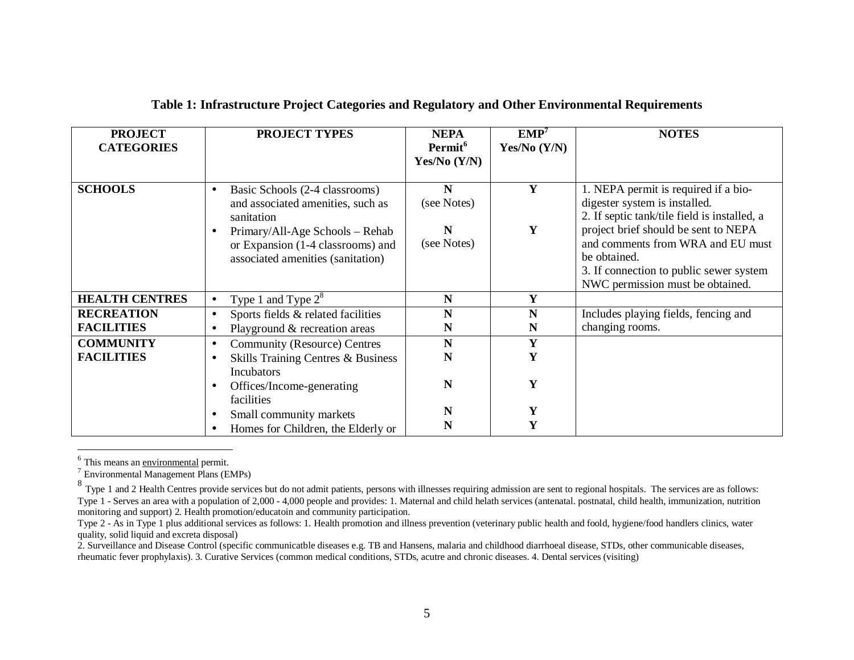| <b>PROJECT</b><br><b>CATEGORIES</b> | <b>PROJECT TYPES</b>                                                                                                              | <b>NEPA</b><br>Permit <sup>6</sup><br>Yes/No $(Y/N)$ | $EMP^7$<br>Yes/No $(Y/N)$ | <b>NOTES</b>                                                                                                                                                  |
|-------------------------------------|-----------------------------------------------------------------------------------------------------------------------------------|------------------------------------------------------|---------------------------|---------------------------------------------------------------------------------------------------------------------------------------------------------------|
| <b>SCHOOLS</b>                      | Basic Schools (2-4 classrooms)<br>$\bullet$<br>and associated amenities, such as<br>sanitation<br>Primary/All-Age Schools - Rehab | $\mathbf N$<br>(see Notes)<br>N                      | Y<br>Y                    | 1. NEPA permit is required if a bio-<br>digester system is installed.<br>2. If septic tank/tile field is installed, a<br>project brief should be sent to NEPA |
|                                     | or Expansion (1-4 classrooms) and<br>associated amenities (sanitation)                                                            | (see Notes)                                          |                           | and comments from WRA and EU must<br>be obtained.<br>3. If connection to public sewer system<br>NWC permission must be obtained.                              |
| <b>HEALTH CENTRES</b>               | Type 1 and Type $2^8$<br>$\bullet$                                                                                                | $\mathbf N$                                          | Y                         |                                                                                                                                                               |
| <b>RECREATION</b>                   | Sports fields & related facilities                                                                                                | $\mathbf N$                                          | N                         | Includes playing fields, fencing and                                                                                                                          |
| <b>FACILITIES</b>                   | Playground & recreation areas                                                                                                     | N                                                    | N                         | changing rooms.                                                                                                                                               |
| <b>COMMUNITY</b>                    | <b>Community (Resource) Centres</b>                                                                                               | $\mathbf N$                                          | Y                         |                                                                                                                                                               |
| <b>FACILITIES</b>                   | Skills Training Centres & Business<br><b>Incubators</b>                                                                           | N                                                    | Y                         |                                                                                                                                                               |
|                                     | Offices/Income-generating<br>facilities                                                                                           | N                                                    | Y                         |                                                                                                                                                               |
|                                     | Small community markets                                                                                                           | N                                                    | Y                         |                                                                                                                                                               |
|                                     | Homes for Children, the Elderly or                                                                                                | N                                                    | Y                         |                                                                                                                                                               |

## **Table 1: Infrastructure Project Categories and Regulatory and Other Environmental Requirements**

<sup>6</sup> This means an <u>environmental</u> permit.<br><sup>7</sup> Environmental Management Plans (EMPs)

<sup>8</sup> Type 1 and 2 Health Centres provide services but do not admit patients, persons with illnesses requiring admission are sent to regional hospitals. The services are as follows: Type 1 - Serves an area with a population of 2,000 - 4,000 people and provides: 1. Maternal and child helath services (antenatal. postnatal, child health, immunization, nutrition monitoring and support) 2. Health promotion/educatoin and community participation.

Type 2 - As in Type 1 plus additional services as follows: 1. Health promotion and illness prevention (veterinary public health and foold, hygiene/food handlers clinics, water quality, solid liquid and excreta disposal)

2. Surveillance and Disease Control (specific communicatble diseases e.g. TB and Hansens, malaria and childhood diarrhoeal disease, STDs, other communicable diseases, rheumatic fever prophylaxis). 3. Curative Services (common medical conditions, STDs, acutre and chronic diseases. 4. Dental services (visiting)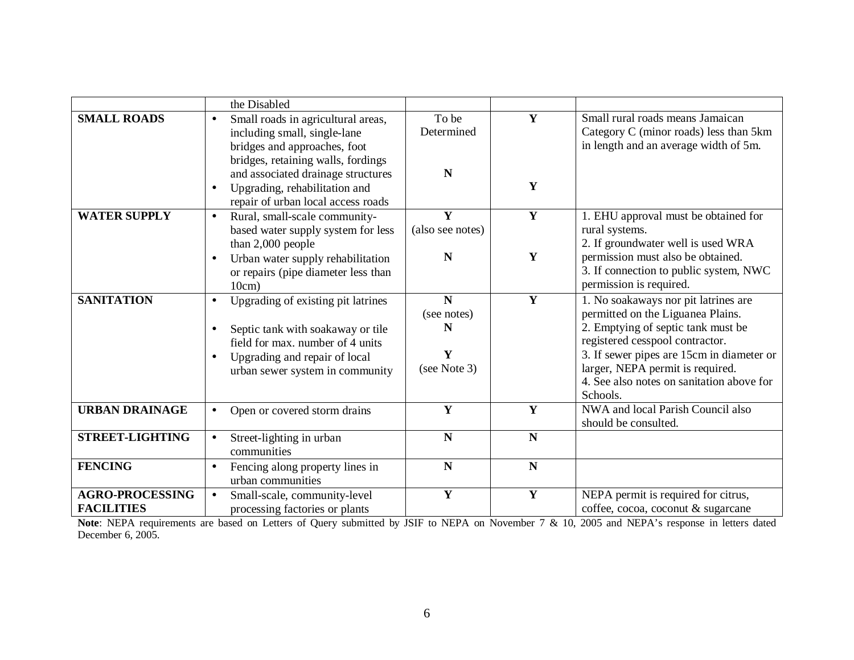|                                             | the Disabled                                                                                                                                                                                                                                                                    |                                                      |                  |                                                                                                                                                                                                                                                                                              |
|---------------------------------------------|---------------------------------------------------------------------------------------------------------------------------------------------------------------------------------------------------------------------------------------------------------------------------------|------------------------------------------------------|------------------|----------------------------------------------------------------------------------------------------------------------------------------------------------------------------------------------------------------------------------------------------------------------------------------------|
| <b>SMALL ROADS</b>                          | Small roads in agricultural areas,<br>$\bullet$<br>including small, single-lane<br>bridges and approaches, foot<br>bridges, retaining walls, fordings<br>and associated drainage structures<br>Upgrading, rehabilitation and<br>$\bullet$<br>repair of urban local access roads | To be<br>Determined<br>N                             | Y<br>Y           | Small rural roads means Jamaican<br>Category C (minor roads) less than 5km<br>in length and an average width of 5m.                                                                                                                                                                          |
| <b>WATER SUPPLY</b>                         | Rural, small-scale community-<br>$\bullet$<br>based water supply system for less<br>than 2,000 people<br>Urban water supply rehabilitation<br>or repairs (pipe diameter less than<br>10cm)                                                                                      | Y<br>(also see notes)<br>N                           | $\mathbf Y$<br>Y | 1. EHU approval must be obtained for<br>rural systems.<br>2. If groundwater well is used WRA<br>permission must also be obtained.<br>3. If connection to public system, NWC<br>permission is required.                                                                                       |
| <b>SANITATION</b>                           | Upgrading of existing pit latrines<br>$\bullet$<br>Septic tank with soakaway or tile<br>field for max, number of 4 units<br>Upgrading and repair of local<br>urban sewer system in community                                                                                    | $\mathbf N$<br>(see notes)<br>N<br>Y<br>(see Note 3) | Y                | 1. No soakaways nor pit latrines are<br>permitted on the Liguanea Plains.<br>2. Emptying of septic tank must be<br>registered cesspool contractor.<br>3. If sewer pipes are 15cm in diameter or<br>larger, NEPA permit is required.<br>4. See also notes on sanitation above for<br>Schools. |
| <b>URBAN DRAINAGE</b>                       | Open or covered storm drains<br>$\bullet$                                                                                                                                                                                                                                       | Y                                                    | Y                | NWA and local Parish Council also<br>should be consulted.                                                                                                                                                                                                                                    |
| <b>STREET-LIGHTING</b>                      | Street-lighting in urban<br>$\bullet$<br>communities                                                                                                                                                                                                                            | N                                                    | $\mathbf N$      |                                                                                                                                                                                                                                                                                              |
| <b>FENCING</b>                              | Fencing along property lines in<br>$\bullet$<br>urban communities                                                                                                                                                                                                               | $\mathbf N$                                          | $\mathbf N$      |                                                                                                                                                                                                                                                                                              |
| <b>AGRO-PROCESSING</b><br><b>FACILITIES</b> | Small-scale, community-level<br>processing factories or plants                                                                                                                                                                                                                  | $\mathbf Y$                                          | Y                | NEPA permit is required for citrus,<br>coffee, cocoa, coconut & sugarcane                                                                                                                                                                                                                    |

**Note**: NEPA requirements are based on Letters of Query submitted by JSIF to NEPA on November 7 & 10, 2005 and NEPA's response in letters dated December 6, 2005.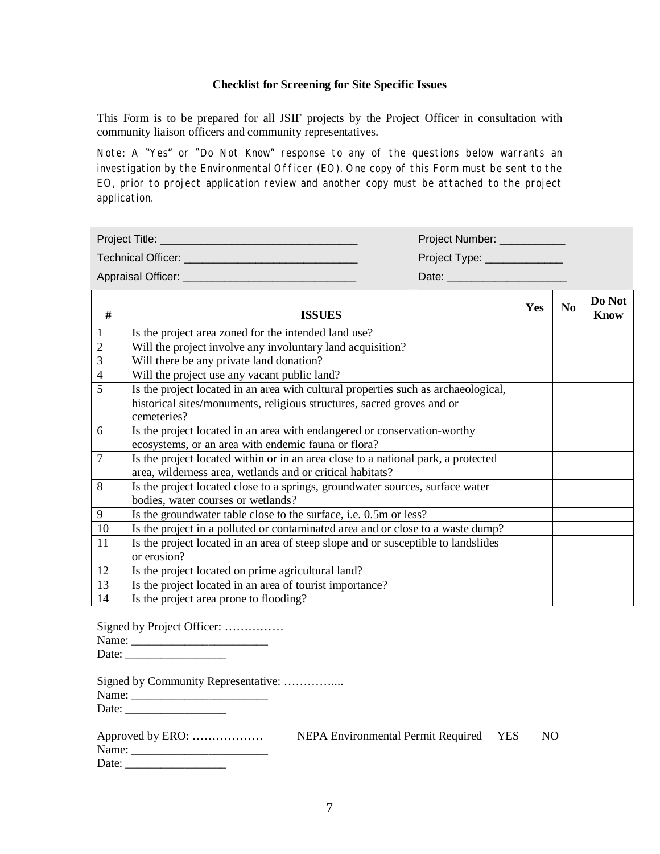### **Checklist for Screening for Site Specific Issues**

This Form is to be prepared for all JSIF projects by the Project Officer in consultation with community liaison officers and community representatives.

Note: A "Yes" or "Do Not Know" response to any of the questions below warrants an investigation by the Environmental Officer (EO). One copy of this Form must be sent to the EO, prior to project application review and another copy must be attached to the project application.

| Project Title:     | Project Number: |
|--------------------|-----------------|
| Technical Officer: | Project Type:   |
| Appraisal Officer: | Date:           |

| #               | <b>ISSUES</b>                                                                                                                                  | Yes | N <sub>0</sub> | Do Not<br><b>Know</b> |
|-----------------|------------------------------------------------------------------------------------------------------------------------------------------------|-----|----------------|-----------------------|
|                 | Is the project area zoned for the intended land use?                                                                                           |     |                |                       |
| $\overline{2}$  | Will the project involve any involuntary land acquisition?                                                                                     |     |                |                       |
| 3               | Will there be any private land donation?                                                                                                       |     |                |                       |
| $\overline{4}$  | Will the project use any vacant public land?                                                                                                   |     |                |                       |
| 5               | Is the project located in an area with cultural properties such as archaeological,                                                             |     |                |                       |
|                 | historical sites/monuments, religious structures, sacred groves and or<br>cemeteries?                                                          |     |                |                       |
| 6               | Is the project located in an area with endangered or conservation-worthy<br>ecosystems, or an area with endemic fauna or flora?                |     |                |                       |
| $7\phantom{.0}$ | Is the project located within or in an area close to a national park, a protected<br>area, wilderness area, wetlands and or critical habitats? |     |                |                       |
| 8               | Is the project located close to a springs, groundwater sources, surface water<br>bodies, water courses or wetlands?                            |     |                |                       |
| 9               | Is the groundwater table close to the surface, i.e. 0.5m or less?                                                                              |     |                |                       |
| 10              | Is the project in a polluted or contaminated area and or close to a waste dump?                                                                |     |                |                       |
| 11              | Is the project located in an area of steep slope and or susceptible to landslides<br>or erosion?                                               |     |                |                       |
| 12              | Is the project located on prime agricultural land?                                                                                             |     |                |                       |
| 13              | Is the project located in an area of tourist importance?                                                                                       |     |                |                       |
| 14              | Is the project area prone to flooding?                                                                                                         |     |                |                       |

Signed by Project Officer: …………… Name: \_\_\_\_\_\_\_\_\_\_\_\_\_\_\_\_\_\_\_\_\_\_\_ Date: \_\_\_\_\_\_\_\_\_\_\_\_\_\_\_\_\_

|       | Signed by Community Representative: |  |
|-------|-------------------------------------|--|
| Name: |                                     |  |

Date: \_\_\_\_\_\_\_\_\_\_\_\_\_\_\_\_\_

| Approved by ERO: | NEPA Environmental Permit Required YES | NO. |
|------------------|----------------------------------------|-----|
| Name:            |                                        |     |
| Date:            |                                        |     |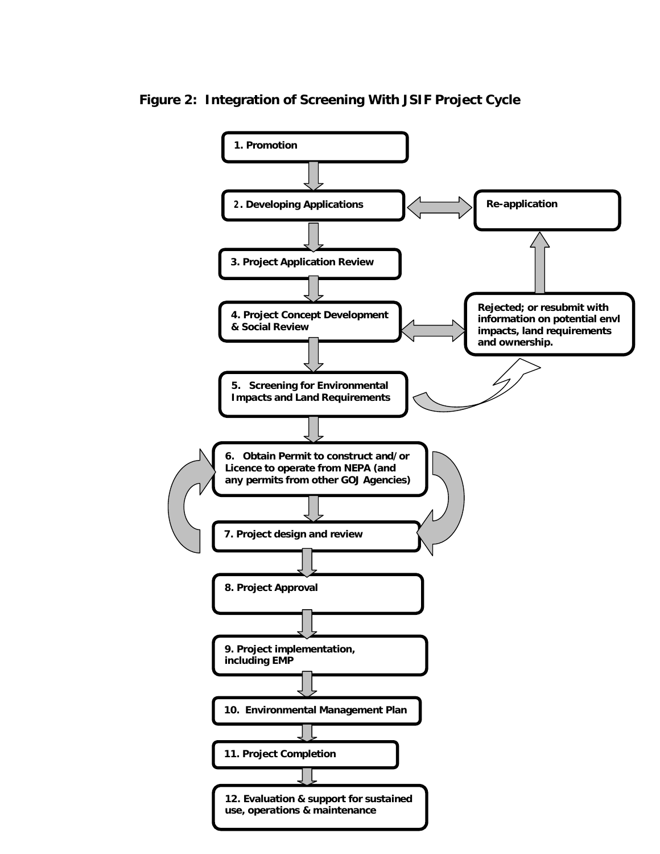**Figure 2: Integration of Screening With JSIF Project Cycle**

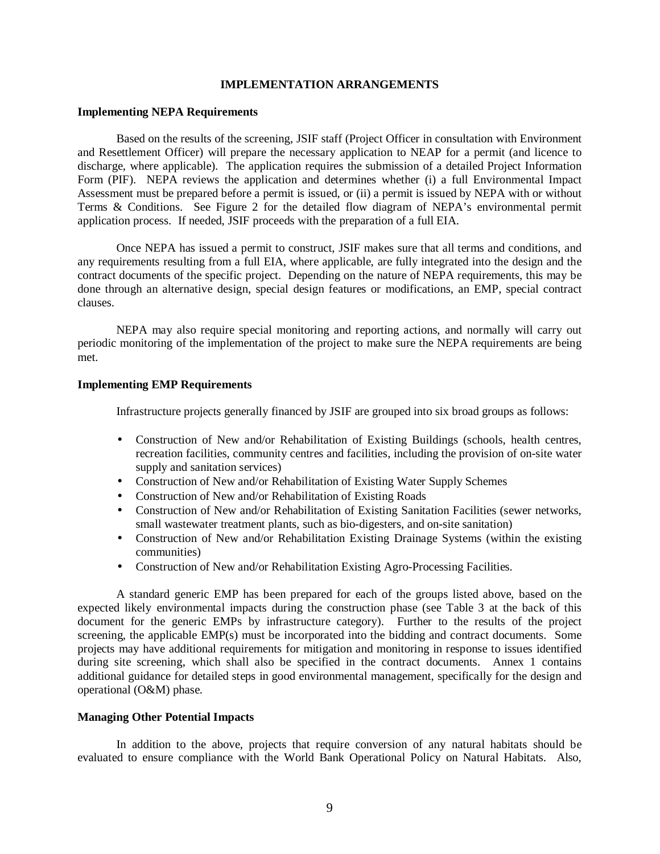## **IMPLEMENTATION ARRANGEMENTS**

### **Implementing NEPA Requirements**

Based on the results of the screening, JSIF staff (Project Officer in consultation with Environment and Resettlement Officer) will prepare the necessary application to NEAP for a permit (and licence to discharge, where applicable). The application requires the submission of a detailed Project Information Form (PIF). NEPA reviews the application and determines whether (i) a full Environmental Impact Assessment must be prepared before a permit is issued, or (ii) a permit is issued by NEPA with or without Terms & Conditions. See Figure 2 for the detailed flow diagram of NEPA's environmental permit application process. If needed, JSIF proceeds with the preparation of a full EIA.

 Once NEPA has issued a permit to construct, JSIF makes sure that all terms and conditions, and any requirements resulting from a full EIA, where applicable, are fully integrated into the design and the contract documents of the specific project. Depending on the nature of NEPA requirements, this may be done through an alternative design, special design features or modifications, an EMP, special contract clauses.

 NEPA may also require special monitoring and reporting actions, and normally will carry out periodic monitoring of the implementation of the project to make sure the NEPA requirements are being met.

### **Implementing EMP Requirements**

Infrastructure projects generally financed by JSIF are grouped into six broad groups as follows:

- Construction of New and/or Rehabilitation of Existing Buildings (schools, health centres, recreation facilities, community centres and facilities, including the provision of on-site water supply and sanitation services)
- Construction of New and/or Rehabilitation of Existing Water Supply Schemes
- Construction of New and/or Rehabilitation of Existing Roads
- Construction of New and/or Rehabilitation of Existing Sanitation Facilities (sewer networks, small wastewater treatment plants, such as bio-digesters, and on-site sanitation)
- Construction of New and/or Rehabilitation Existing Drainage Systems (within the existing communities)
- Construction of New and/or Rehabilitation Existing Agro-Processing Facilities.

A standard generic EMP has been prepared for each of the groups listed above, based on the expected likely environmental impacts during the construction phase (see Table 3 at the back of this document for the generic EMPs by infrastructure category). Further to the results of the project screening, the applicable EMP(s) must be incorporated into the bidding and contract documents. Some projects may have additional requirements for mitigation and monitoring in response to issues identified during site screening, which shall also be specified in the contract documents. Annex 1 contains additional guidance for detailed steps in good environmental management, specifically for the design and operational (O&M) phase.

### **Managing Other Potential Impacts**

In addition to the above, projects that require conversion of any natural habitats should be evaluated to ensure compliance with the World Bank Operational Policy on Natural Habitats. Also,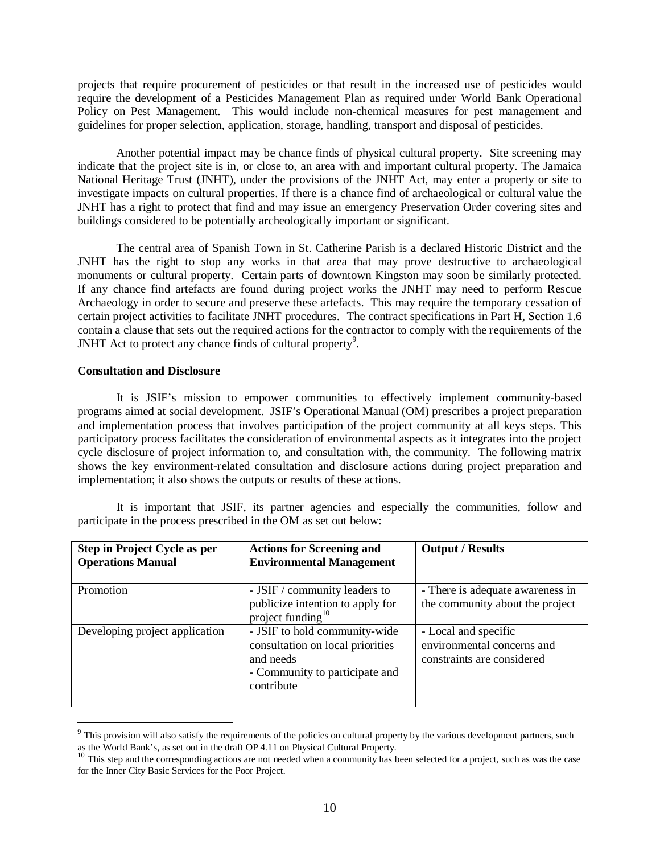projects that require procurement of pesticides or that result in the increased use of pesticides would require the development of a Pesticides Management Plan as required under World Bank Operational Policy on Pest Management. This would include non-chemical measures for pest management and guidelines for proper selection, application, storage, handling, transport and disposal of pesticides.

Another potential impact may be chance finds of physical cultural property. Site screening may indicate that the project site is in, or close to, an area with and important cultural property. The Jamaica National Heritage Trust (JNHT), under the provisions of the JNHT Act, may enter a property or site to investigate impacts on cultural properties. If there is a chance find of archaeological or cultural value the JNHT has a right to protect that find and may issue an emergency Preservation Order covering sites and buildings considered to be potentially archeologically important or significant.

 The central area of Spanish Town in St. Catherine Parish is a declared Historic District and the JNHT has the right to stop any works in that area that may prove destructive to archaeological monuments or cultural property. Certain parts of downtown Kingston may soon be similarly protected. If any chance find artefacts are found during project works the JNHT may need to perform Rescue Archaeology in order to secure and preserve these artefacts. This may require the temporary cessation of certain project activities to facilitate JNHT procedures. The contract specifications in Part H, Section 1.6 contain a clause that sets out the required actions for the contractor to comply with the requirements of the JNHT Act to protect any chance finds of cultural property $9$ .

## **Consultation and Disclosure**

It is JSIF's mission to empower communities to effectively implement community-based programs aimed at social development. JSIF's Operational Manual (OM) prescribes a project preparation and implementation process that involves participation of the project community at all keys steps. This participatory process facilitates the consideration of environmental aspects as it integrates into the project cycle disclosure of project information to, and consultation with, the community. The following matrix shows the key environment-related consultation and disclosure actions during project preparation and implementation; it also shows the outputs or results of these actions.

It is important that JSIF, its partner agencies and especially the communities, follow and participate in the process prescribed in the OM as set out below:

| Step in Project Cycle as per<br><b>Operations Manual</b> | <b>Actions for Screening and</b><br><b>Environmental Management</b>                                                            | <b>Output / Results</b>                                                          |
|----------------------------------------------------------|--------------------------------------------------------------------------------------------------------------------------------|----------------------------------------------------------------------------------|
| Promotion                                                | - JSIF / community leaders to<br>publicize intention to apply for project funding $10$                                         | - There is adequate awareness in<br>the community about the project              |
| Developing project application                           | - JSIF to hold community-wide<br>consultation on local priorities<br>and needs<br>- Community to participate and<br>contribute | - Local and specific<br>environmental concerns and<br>constraints are considered |

 $9$  This provision will also satisfy the requirements of the policies on cultural property by the various development partners, such as the World Bank's, as set out in the draft OP 4.11 on Physical Cultural Property.

<sup>&</sup>lt;sup>10</sup> This step and the corresponding actions are not needed when a community has been selected for a project, such as was the case for the Inner City Basic Services for the Poor Project.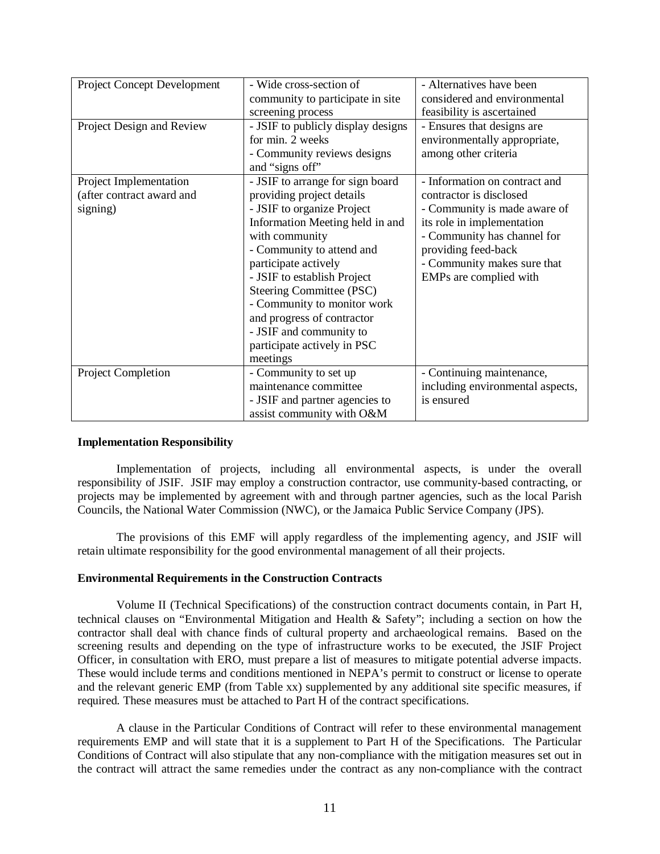| Project Concept Development | - Wide cross-section of            | - Alternatives have been         |
|-----------------------------|------------------------------------|----------------------------------|
|                             | community to participate in site   | considered and environmental     |
|                             | screening process                  | feasibility is ascertained       |
| Project Design and Review   | - JSIF to publicly display designs | - Ensures that designs are       |
|                             | for min. 2 weeks                   | environmentally appropriate,     |
|                             | - Community reviews designs        | among other criteria             |
|                             | and "signs off"                    |                                  |
| Project Implementation      | - JSIF to arrange for sign board   | - Information on contract and    |
| (after contract award and   | providing project details          | contractor is disclosed          |
| signing)                    | - JSIF to organize Project         | - Community is made aware of     |
|                             | Information Meeting held in and    | its role in implementation       |
|                             | with community                     | - Community has channel for      |
|                             | - Community to attend and          | providing feed-back              |
|                             | participate actively               | - Community makes sure that      |
|                             | - JSIF to establish Project        | EMPs are complied with           |
|                             | Steering Committee (PSC)           |                                  |
|                             | - Community to monitor work        |                                  |
|                             | and progress of contractor         |                                  |
|                             | - JSIF and community to            |                                  |
|                             | participate actively in PSC        |                                  |
|                             | meetings                           |                                  |
| Project Completion          | - Community to set up              | - Continuing maintenance,        |
|                             | maintenance committee              | including environmental aspects, |
|                             | - JSIF and partner agencies to     | is ensured                       |
|                             | assist community with O&M          |                                  |

### **Implementation Responsibility**

Implementation of projects, including all environmental aspects, is under the overall responsibility of JSIF. JSIF may employ a construction contractor, use community-based contracting, or projects may be implemented by agreement with and through partner agencies, such as the local Parish Councils, the National Water Commission (NWC), or the Jamaica Public Service Company (JPS).

 The provisions of this EMF will apply regardless of the implementing agency, and JSIF will retain ultimate responsibility for the good environmental management of all their projects.

### **Environmental Requirements in the Construction Contracts**

Volume II (Technical Specifications) of the construction contract documents contain, in Part H, technical clauses on "Environmental Mitigation and Health & Safety"; including a section on how the contractor shall deal with chance finds of cultural property and archaeological remains. Based on the screening results and depending on the type of infrastructure works to be executed, the JSIF Project Officer, in consultation with ERO, must prepare a list of measures to mitigate potential adverse impacts. These would include terms and conditions mentioned in NEPA's permit to construct or license to operate and the relevant generic EMP (from Table xx) supplemented by any additional site specific measures, if required. These measures must be attached to Part H of the contract specifications.

A clause in the Particular Conditions of Contract will refer to these environmental management requirements EMP and will state that it is a supplement to Part H of the Specifications. The Particular Conditions of Contract will also stipulate that any non-compliance with the mitigation measures set out in the contract will attract the same remedies under the contract as any non-compliance with the contract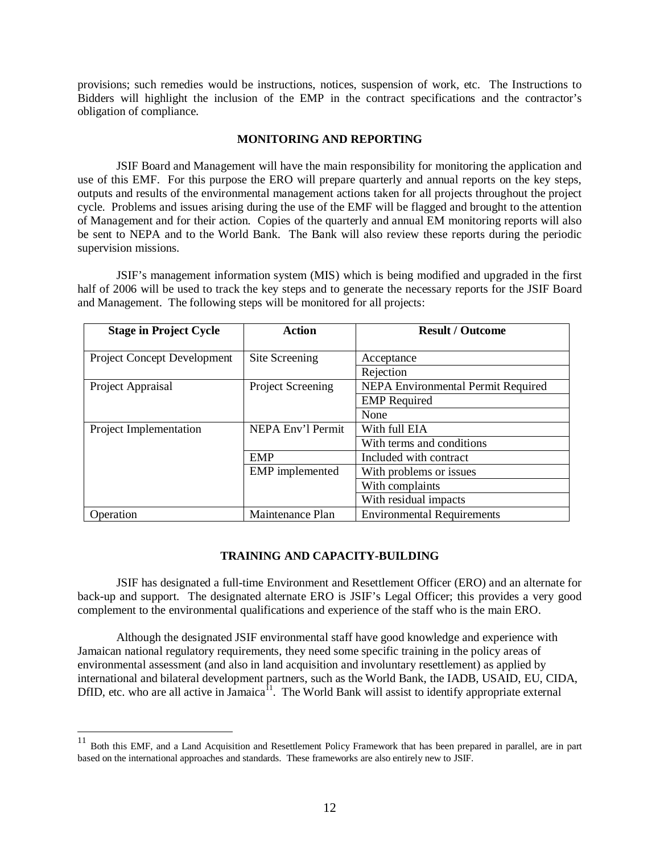provisions; such remedies would be instructions, notices, suspension of work, etc. The Instructions to Bidders will highlight the inclusion of the EMP in the contract specifications and the contractor's obligation of compliance.

## **MONITORING AND REPORTING**

 JSIF Board and Management will have the main responsibility for monitoring the application and use of this EMF. For this purpose the ERO will prepare quarterly and annual reports on the key steps, outputs and results of the environmental management actions taken for all projects throughout the project cycle. Problems and issues arising during the use of the EMF will be flagged and brought to the attention of Management and for their action. Copies of the quarterly and annual EM monitoring reports will also be sent to NEPA and to the World Bank. The Bank will also review these reports during the periodic supervision missions.

JSIF's management information system (MIS) which is being modified and upgraded in the first half of 2006 will be used to track the key steps and to generate the necessary reports for the JSIF Board and Management. The following steps will be monitored for all projects:

| <b>Stage in Project Cycle</b>      | <b>Action</b>            | <b>Result / Outcome</b>                   |
|------------------------------------|--------------------------|-------------------------------------------|
|                                    |                          |                                           |
| <b>Project Concept Development</b> | Site Screening           | Acceptance                                |
|                                    |                          | Rejection                                 |
| Project Appraisal                  | <b>Project Screening</b> | <b>NEPA Environmental Permit Required</b> |
|                                    |                          | <b>EMP</b> Required                       |
|                                    |                          | None                                      |
| Project Implementation             | NEPA Env'l Permit        | With full EIA                             |
|                                    |                          | With terms and conditions                 |
|                                    | <b>EMP</b>               | Included with contract                    |
|                                    | <b>EMP</b> implemented   | With problems or issues                   |
|                                    |                          | With complaints                           |
|                                    |                          | With residual impacts                     |
| Operation                          | Maintenance Plan         | <b>Environmental Requirements</b>         |

### **TRAINING AND CAPACITY-BUILDING**

JSIF has designated a full-time Environment and Resettlement Officer (ERO) and an alternate for back-up and support. The designated alternate ERO is JSIF's Legal Officer; this provides a very good complement to the environmental qualifications and experience of the staff who is the main ERO.

Although the designated JSIF environmental staff have good knowledge and experience with Jamaican national regulatory requirements, they need some specific training in the policy areas of environmental assessment (and also in land acquisition and involuntary resettlement) as applied by international and bilateral development partners, such as the World Bank, the IADB, USAID, EU, CIDA, DfID, etc. who are all active in Jamaica<sup>11</sup>. The World Bank will assist to identify appropriate external

<sup>&</sup>lt;sup>11</sup> Both this EMF, and a Land Acquisition and Resettlement Policy Framework that has been prepared in parallel, are in part based on the international approaches and standards. These frameworks are also entirely new to JSIF.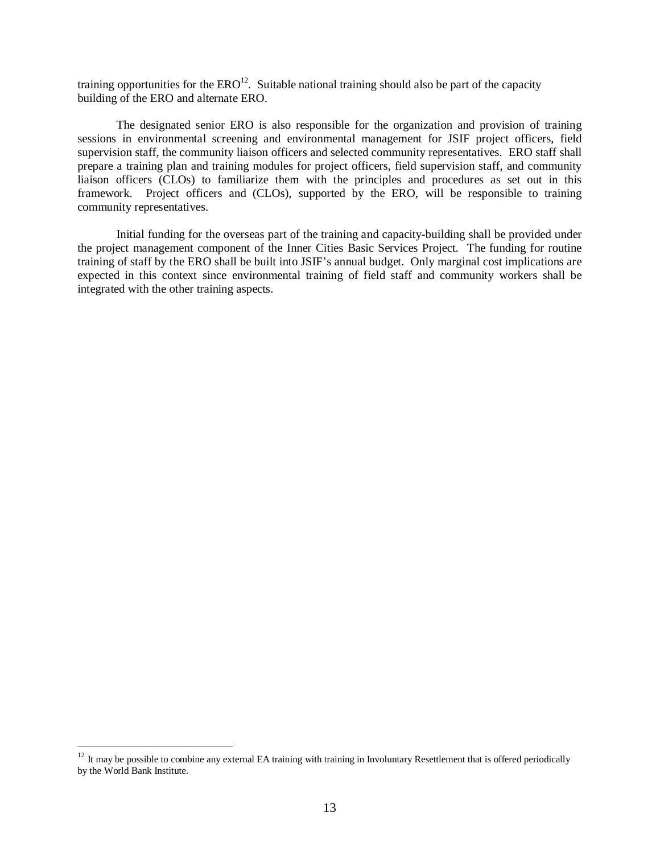training opportunities for the  $ERO<sup>12</sup>$ . Suitable national training should also be part of the capacity building of the ERO and alternate ERO.

The designated senior ERO is also responsible for the organization and provision of training sessions in environmental screening and environmental management for JSIF project officers, field supervision staff, the community liaison officers and selected community representatives. ERO staff shall prepare a training plan and training modules for project officers, field supervision staff, and community liaison officers (CLOs) to familiarize them with the principles and procedures as set out in this framework. Project officers and (CLOs), supported by the ERO, will be responsible to training community representatives.

Initial funding for the overseas part of the training and capacity-building shall be provided under the project management component of the Inner Cities Basic Services Project. The funding for routine training of staff by the ERO shall be built into JSIF's annual budget. Only marginal cost implications are expected in this context since environmental training of field staff and community workers shall be integrated with the other training aspects.

<sup>&</sup>lt;sup>12</sup> It may be possible to combine any external EA training with training in Involuntary Resettlement that is offered periodically by the World Bank Institute.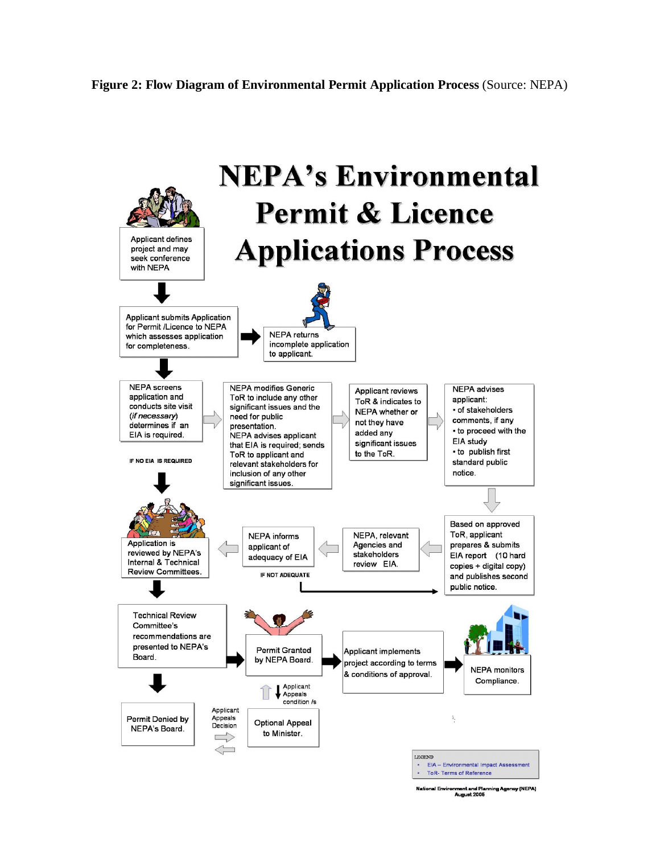

nment and Planning Agency (NEPA)<br>August 2005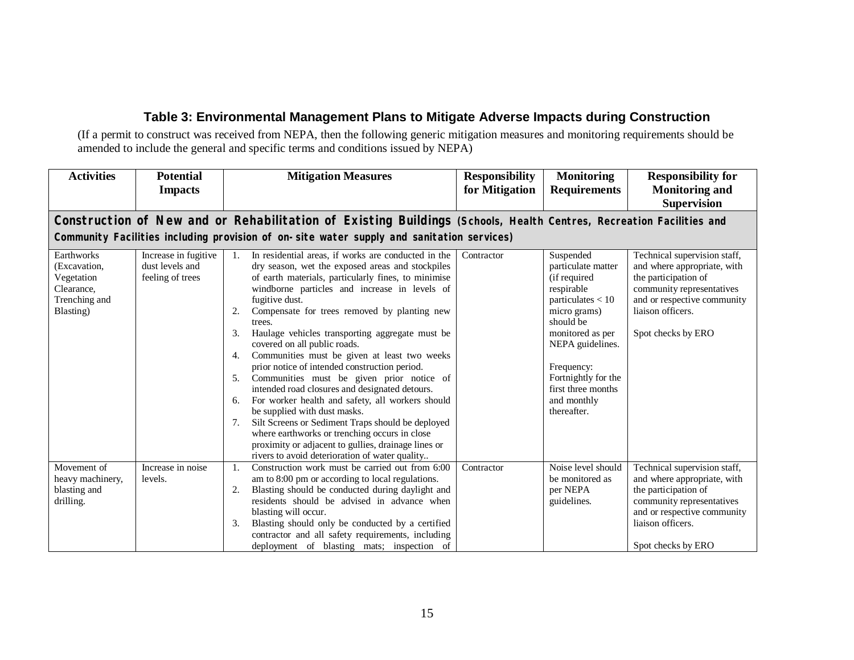# **Table 3: Environmental Management Plans to Mitigate Adverse Impacts during Construction**

(If a permit to construct was received from NEPA, then the following generic mitigation measures and monitoring requirements should be amended to include the general and specific terms and conditions issued by NEPA)

| <b>Activities</b>                                                                                                                                                                                                | <b>Potential</b><br><b>Impacts</b>                          | <b>Mitigation Measures</b>                                                                                                                                                                                                                                                                                                                                                                                                                                                                                                                                                                                                                                                                                                                                                                                                                                                                                            | <b>Responsibility</b><br>for Mitigation | <b>Monitoring</b><br><b>Requirements</b>                                                                                                                                                                                                           | <b>Responsibility for</b><br><b>Monitoring and</b><br><b>Supervision</b>                                                                                                                   |
|------------------------------------------------------------------------------------------------------------------------------------------------------------------------------------------------------------------|-------------------------------------------------------------|-----------------------------------------------------------------------------------------------------------------------------------------------------------------------------------------------------------------------------------------------------------------------------------------------------------------------------------------------------------------------------------------------------------------------------------------------------------------------------------------------------------------------------------------------------------------------------------------------------------------------------------------------------------------------------------------------------------------------------------------------------------------------------------------------------------------------------------------------------------------------------------------------------------------------|-----------------------------------------|----------------------------------------------------------------------------------------------------------------------------------------------------------------------------------------------------------------------------------------------------|--------------------------------------------------------------------------------------------------------------------------------------------------------------------------------------------|
| Construction of New and or Rehabilitation of Existing Buildings (Schools, Health Centres, Recreation Facilities and<br>Community Facilities including provision of on-site water supply and sanitation services) |                                                             |                                                                                                                                                                                                                                                                                                                                                                                                                                                                                                                                                                                                                                                                                                                                                                                                                                                                                                                       |                                         |                                                                                                                                                                                                                                                    |                                                                                                                                                                                            |
| Earthworks<br>(Excavation,<br>Vegetation<br>Clearance,<br>Trenching and<br>Blasting)                                                                                                                             | Increase in fugitive<br>dust levels and<br>feeling of trees | In residential areas, if works are conducted in the<br>dry season, wet the exposed areas and stockpiles<br>of earth materials, particularly fines, to minimise<br>windborne particles and increase in levels of<br>fugitive dust.<br>Compensate for trees removed by planting new<br>2.<br>trees.<br>Haulage vehicles transporting aggregate must be<br>3.<br>covered on all public roads.<br>Communities must be given at least two weeks<br>4.<br>prior notice of intended construction period.<br>Communities must be given prior notice of<br>5.<br>intended road closures and designated detours.<br>For worker health and safety, all workers should<br>6.<br>be supplied with dust masks.<br>Silt Screens or Sediment Traps should be deployed<br>7.<br>where earthworks or trenching occurs in close<br>proximity or adjacent to gullies, drainage lines or<br>rivers to avoid deterioration of water quality | Contractor                              | Suspended<br>particulate matter<br>(if required<br>respirable<br>particulates $< 10$<br>micro grams)<br>should be<br>monitored as per<br>NEPA guidelines.<br>Frequency:<br>Fortnightly for the<br>first three months<br>and monthly<br>thereafter. | Technical supervision staff,<br>and where appropriate, with<br>the participation of<br>community representatives<br>and or respective community<br>liaison officers.<br>Spot checks by ERO |
| Movement of<br>heavy machinery,<br>blasting and<br>drilling.                                                                                                                                                     | Increase in noise<br>levels.                                | Construction work must be carried out from 6:00<br>1.<br>am to 8:00 pm or according to local regulations.<br>Blasting should be conducted during daylight and<br>2.<br>residents should be advised in advance when<br>blasting will occur.<br>3.<br>Blasting should only be conducted by a certified<br>contractor and all safety requirements, including<br>deployment of blasting mats; inspection of                                                                                                                                                                                                                                                                                                                                                                                                                                                                                                               | Contractor                              | Noise level should<br>be monitored as<br>per NEPA<br>guidelines.                                                                                                                                                                                   | Technical supervision staff,<br>and where appropriate, with<br>the participation of<br>community representatives<br>and or respective community<br>liaison officers.<br>Spot checks by ERO |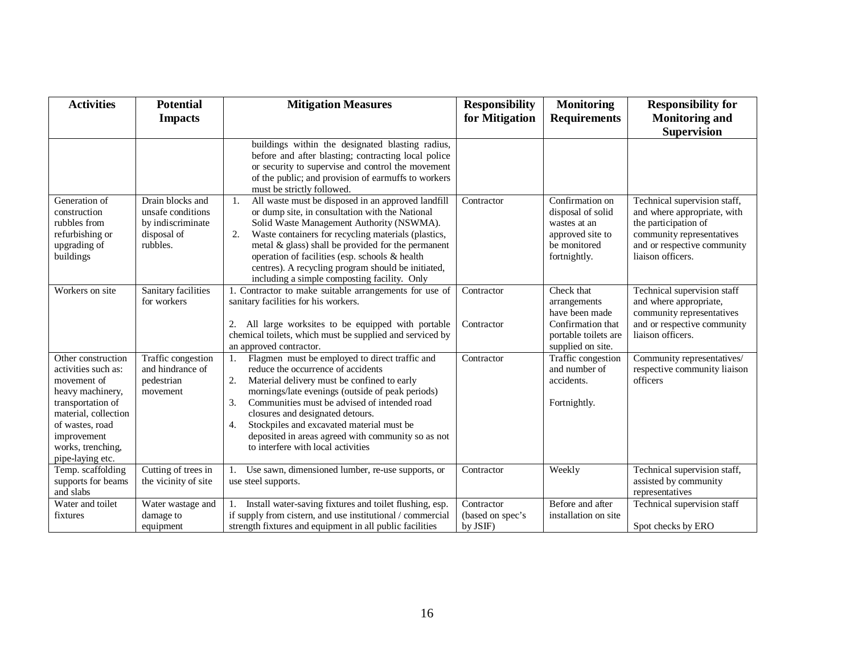| <b>Activities</b>                                                                                                                                                                                    | <b>Potential</b>                                                                      | <b>Mitigation Measures</b>                                                                                                                                                                                                                                                                                                                                                                                                                                        | <b>Responsibility</b>                      | <b>Monitoring</b>                                                                                        | <b>Responsibility for</b>                                                                                                                                            |
|------------------------------------------------------------------------------------------------------------------------------------------------------------------------------------------------------|---------------------------------------------------------------------------------------|-------------------------------------------------------------------------------------------------------------------------------------------------------------------------------------------------------------------------------------------------------------------------------------------------------------------------------------------------------------------------------------------------------------------------------------------------------------------|--------------------------------------------|----------------------------------------------------------------------------------------------------------|----------------------------------------------------------------------------------------------------------------------------------------------------------------------|
|                                                                                                                                                                                                      | <b>Impacts</b>                                                                        |                                                                                                                                                                                                                                                                                                                                                                                                                                                                   | for Mitigation                             | <b>Requirements</b>                                                                                      | <b>Monitoring and</b>                                                                                                                                                |
|                                                                                                                                                                                                      |                                                                                       |                                                                                                                                                                                                                                                                                                                                                                                                                                                                   |                                            |                                                                                                          | <b>Supervision</b>                                                                                                                                                   |
|                                                                                                                                                                                                      |                                                                                       | buildings within the designated blasting radius,<br>before and after blasting; contracting local police<br>or security to supervise and control the movement<br>of the public; and provision of earmuffs to workers<br>must be strictly followed.                                                                                                                                                                                                                 |                                            |                                                                                                          |                                                                                                                                                                      |
| Generation of<br>construction<br>rubbles from<br>refurbishing or<br>upgrading of<br>buildings                                                                                                        | Drain blocks and<br>unsafe conditions<br>by indiscriminate<br>disposal of<br>rubbles. | All waste must be disposed in an approved landfill<br>1.<br>or dump site, in consultation with the National<br>Solid Waste Management Authority (NSWMA).<br>Waste containers for recycling materials (plastics,<br>2.<br>metal & glass) shall be provided for the permanent<br>operation of facilities (esp. schools & health<br>centres). A recycling program should be initiated,<br>including a simple composting facility. Only                               | Contractor                                 | Confirmation on<br>disposal of solid<br>wastes at an<br>approved site to<br>be monitored<br>fortnightly. | Technical supervision staff,<br>and where appropriate, with<br>the participation of<br>community representatives<br>and or respective community<br>liaison officers. |
| Workers on site                                                                                                                                                                                      | Sanitary facilities<br>for workers                                                    | 1. Contractor to make suitable arrangements for use of<br>sanitary facilities for his workers.<br>All large worksites to be equipped with portable<br>2.<br>chemical toilets, which must be supplied and serviced by                                                                                                                                                                                                                                              | Contractor<br>Contractor                   | Check that<br>arrangements<br>have been made<br>Confirmation that<br>portable toilets are                | Technical supervision staff<br>and where appropriate,<br>community representatives<br>and or respective community<br>liaison officers.                               |
| Other construction<br>activities such as:<br>movement of<br>heavy machinery,<br>transportation of<br>material, collection<br>of wastes, road<br>improvement<br>works, trenching,<br>pipe-laying etc. | Traffic congestion<br>and hindrance of<br>pedestrian<br>movement                      | an approved contractor.<br>Flagmen must be employed to direct traffic and<br>reduce the occurrence of accidents<br>2.<br>Material delivery must be confined to early<br>mornings/late evenings (outside of peak periods)<br>Communities must be advised of intended road<br>3.<br>closures and designated detours.<br>Stockpiles and excavated material must be<br>4.<br>deposited in areas agreed with community so as not<br>to interfere with local activities | Contractor                                 | supplied on site.<br>Traffic congestion<br>and number of<br>accidents.<br>Fortnightly.                   | Community representatives/<br>respective community liaison<br>officers                                                                                               |
| Temp. scaffolding<br>supports for beams<br>and slabs                                                                                                                                                 | Cutting of trees in<br>the vicinity of site                                           | Use sawn, dimensioned lumber, re-use supports, or<br>1.<br>use steel supports.                                                                                                                                                                                                                                                                                                                                                                                    | Contractor                                 | Weekly                                                                                                   | Technical supervision staff,<br>assisted by community<br>representatives                                                                                             |
| Water and toilet<br>fixtures                                                                                                                                                                         | Water wastage and<br>damage to<br>equipment                                           | Install water-saving fixtures and toilet flushing, esp.<br>1.<br>if supply from cistern, and use institutional / commercial<br>strength fixtures and equipment in all public facilities                                                                                                                                                                                                                                                                           | Contractor<br>(based on spec's<br>by JSIF) | Before and after<br>installation on site                                                                 | Technical supervision staff<br>Spot checks by ERO                                                                                                                    |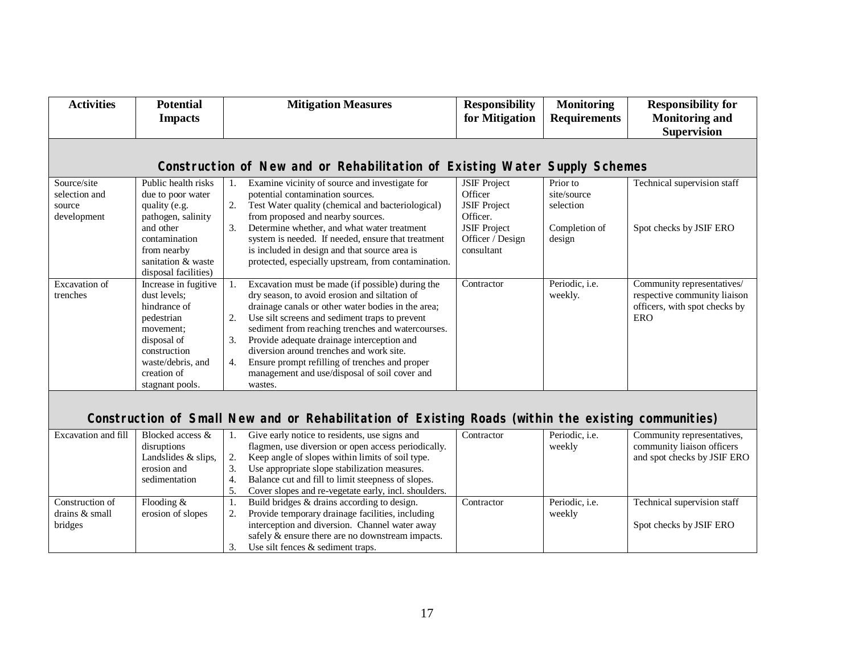| <b>Activities</b>                                     | <b>Potential</b><br><b>Impacts</b>                                                                                                                                                            | <b>Mitigation Measures</b>                                                                                                                                                                                                                                                                                                                                                                                                                                                               | <b>Responsibility</b><br>for Mitigation                                                                                    | <b>Monitoring</b><br><b>Requirements</b>                        | <b>Responsibility for</b><br><b>Monitoring and</b><br><b>Supervision</b>                                  |
|-------------------------------------------------------|-----------------------------------------------------------------------------------------------------------------------------------------------------------------------------------------------|------------------------------------------------------------------------------------------------------------------------------------------------------------------------------------------------------------------------------------------------------------------------------------------------------------------------------------------------------------------------------------------------------------------------------------------------------------------------------------------|----------------------------------------------------------------------------------------------------------------------------|-----------------------------------------------------------------|-----------------------------------------------------------------------------------------------------------|
|                                                       |                                                                                                                                                                                               | Construction of New and or Rehabilitation of Existing Water Supply Schemes                                                                                                                                                                                                                                                                                                                                                                                                               |                                                                                                                            |                                                                 |                                                                                                           |
| Source/site<br>selection and<br>source<br>development | Public health risks<br>due to poor water<br>quality (e.g.<br>pathogen, salinity<br>and other<br>contamination<br>from nearby<br>sanitation & waste                                            | Examine vicinity of source and investigate for<br>potential contamination sources.<br>2.<br>Test Water quality (chemical and bacteriological)<br>from proposed and nearby sources.<br>3.<br>Determine whether, and what water treatment<br>system is needed. If needed, ensure that treatment<br>is included in design and that source area is<br>protected, especially upstream, from contamination.                                                                                    | <b>JSIF Project</b><br>Officer<br><b>JSIF Project</b><br>Officer.<br><b>JSIF Project</b><br>Officer / Design<br>consultant | Prior to<br>site/source<br>selection<br>Completion of<br>design | Technical supervision staff<br>Spot checks by JSIF ERO                                                    |
| <b>Excavation</b> of<br>trenches                      | disposal facilities)<br>Increase in fugitive<br>dust levels:<br>hindrance of<br>pedestrian<br>movement:<br>disposal of<br>construction<br>waste/debris, and<br>creation of<br>stagnant pools. | Excavation must be made (if possible) during the<br>dry season, to avoid erosion and siltation of<br>drainage canals or other water bodies in the area;<br>2.<br>Use silt screens and sediment traps to prevent<br>sediment from reaching trenches and watercourses.<br>Provide adequate drainage interception and<br>3.<br>diversion around trenches and work site.<br>Ensure prompt refilling of trenches and proper<br>4.<br>management and use/disposal of soil cover and<br>wastes. | Contractor                                                                                                                 | Periodic, i.e.<br>weekly.                                       | Community representatives/<br>respective community liaison<br>officers, with spot checks by<br><b>ERO</b> |
|                                                       |                                                                                                                                                                                               | Construction of Small New and or Rehabilitation of Existing Roads (within the existing communities)                                                                                                                                                                                                                                                                                                                                                                                      |                                                                                                                            |                                                                 |                                                                                                           |
| Excavation and fill                                   | Blocked access &<br>disruptions<br>Landslides & slips,<br>erosion and<br>sedimentation                                                                                                        | Give early notice to residents, use signs and<br>1.<br>flagmen, use diversion or open access periodically.<br>Keep angle of slopes within limits of soil type.<br>2.<br>3.<br>Use appropriate slope stabilization measures.<br>Balance cut and fill to limit steepness of slopes.<br>4.<br>5.<br>Cover slopes and re-vegetate early, incl. shoulders.                                                                                                                                    | Contractor                                                                                                                 | Periodic, i.e.<br>weekly                                        | Community representatives,<br>community liaison officers<br>and spot checks by JSIF ERO                   |
| Construction of<br>drains & small<br>bridges          | Flooding $&$<br>erosion of slopes                                                                                                                                                             | Build bridges & drains according to design.<br>1.<br>Provide temporary drainage facilities, including<br>2.<br>interception and diversion. Channel water away<br>safely $\&$ ensure there are no downstream impacts.<br>3.<br>Use silt fences $&$ sediment traps.                                                                                                                                                                                                                        | Contractor                                                                                                                 | Periodic, i.e.<br>weekly                                        | Technical supervision staff<br>Spot checks by JSIF ERO                                                    |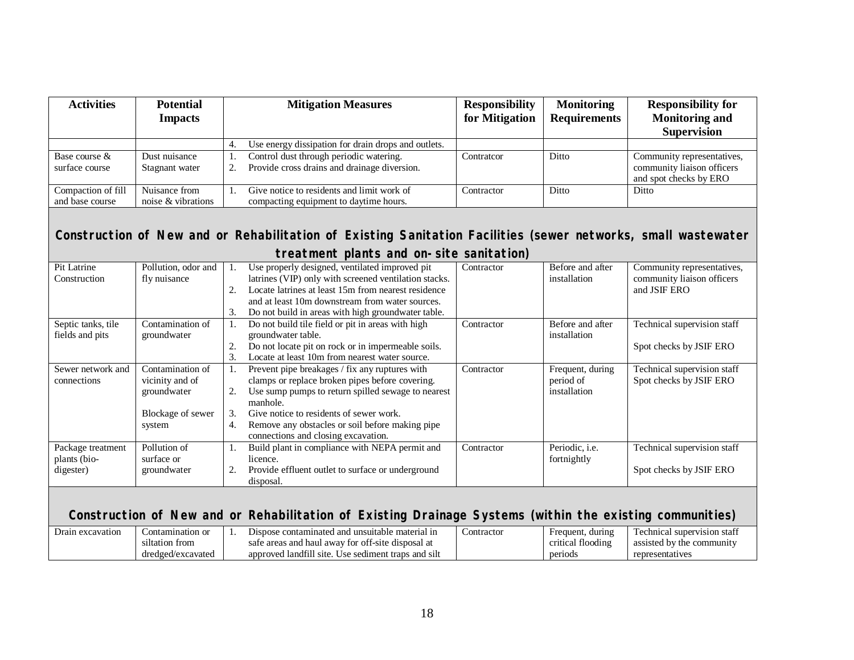| <b>Activities</b>                                                                                                                                         | <b>Potential</b><br><b>Impacts</b>                                                | <b>Mitigation Measures</b>                                                                                                                                                                                                                                                                                                       | <b>Responsibility</b><br>for Mitigation | <b>Monitoring</b><br><b>Requirements</b>         | <b>Responsibility for</b><br><b>Monitoring and</b><br><b>Supervision</b>           |  |  |  |  |
|-----------------------------------------------------------------------------------------------------------------------------------------------------------|-----------------------------------------------------------------------------------|----------------------------------------------------------------------------------------------------------------------------------------------------------------------------------------------------------------------------------------------------------------------------------------------------------------------------------|-----------------------------------------|--------------------------------------------------|------------------------------------------------------------------------------------|--|--|--|--|
|                                                                                                                                                           |                                                                                   | Use energy dissipation for drain drops and outlets.<br>4.                                                                                                                                                                                                                                                                        |                                         |                                                  |                                                                                    |  |  |  |  |
| Base course &<br>surface course                                                                                                                           | Dust nuisance<br>Stagnant water                                                   | Control dust through periodic watering.<br>1.<br>Provide cross drains and drainage diversion.<br>2.                                                                                                                                                                                                                              | Contratcor                              | Ditto                                            | Community representatives,<br>community liaison officers<br>and spot checks by ERO |  |  |  |  |
| Compaction of fill<br>and base course                                                                                                                     | Nuisance from<br>noise & vibrations                                               | Give notice to residents and limit work of<br>1.<br>compacting equipment to daytime hours.                                                                                                                                                                                                                                       | Contractor                              | Ditto                                            | Ditto                                                                              |  |  |  |  |
| Construction of New and or Rehabilitation of Existing Sanitation Facilities (sewer networks, small wastewater<br>treatment plants and on-site sanitation) |                                                                                   |                                                                                                                                                                                                                                                                                                                                  |                                         |                                                  |                                                                                    |  |  |  |  |
| Pit Latrine<br>Construction                                                                                                                               | Pollution, odor and<br>fly nuisance                                               | Use properly designed, ventilated improved pit<br>latrines (VIP) only with screened ventilation stacks.<br>Locate latrines at least 15m from nearest residence<br>2.<br>and at least 10m downstream from water sources.<br>3.<br>Do not build in areas with high groundwater table.                                              | Contractor                              | Before and after<br>installation                 | Community representatives,<br>community liaison officers<br>and JSIF ERO           |  |  |  |  |
| Septic tanks, tile<br>fields and pits                                                                                                                     | Contamination of<br>groundwater                                                   | Do not build tile field or pit in areas with high<br>1.<br>groundwater table.<br>Do not locate pit on rock or in impermeable soils.<br>2.<br>3.<br>Locate at least 10m from nearest water source.                                                                                                                                | Contractor                              | Before and after<br>installation                 | Technical supervision staff<br>Spot checks by JSIF ERO                             |  |  |  |  |
| Sewer network and<br>connections                                                                                                                          | Contamination of<br>vicinity and of<br>groundwater<br>Blockage of sewer<br>system | Prevent pipe breakages / fix any ruptures with<br>1.<br>clamps or replace broken pipes before covering.<br>Use sump pumps to return spilled sewage to nearest<br>2.<br>manhole.<br>Give notice to residents of sewer work.<br>3.<br>Remove any obstacles or soil before making pipe<br>4.<br>connections and closing excavation. | Contractor                              | Frequent, during<br>period of<br>installation    | Technical supervision staff<br>Spot checks by JSIF ERO                             |  |  |  |  |
| Package treatment<br>plants (bio-<br>digester)                                                                                                            | Pollution of<br>surface or<br>groundwater                                         | Build plant in compliance with NEPA permit and<br>1.<br>licence.<br>Provide effluent outlet to surface or underground<br>2.<br>disposal.                                                                                                                                                                                         | Contractor                              | Periodic, i.e.<br>fortnightly                    | Technical supervision staff<br>Spot checks by JSIF ERO                             |  |  |  |  |
| Construction of New and or Rehabilitation of Existing Drainage Systems (within the existing communities)                                                  |                                                                                   |                                                                                                                                                                                                                                                                                                                                  |                                         |                                                  |                                                                                    |  |  |  |  |
| Drain excavation                                                                                                                                          | Contamination or<br>siltation from<br>dredged/excavated                           | Dispose contaminated and unsuitable material in<br>1.<br>safe areas and haul away for off-site disposal at<br>approved landfill site. Use sediment traps and silt                                                                                                                                                                | Contractor                              | Frequent, during<br>critical flooding<br>periods | Technical supervision staff<br>assisted by the community<br>representatives        |  |  |  |  |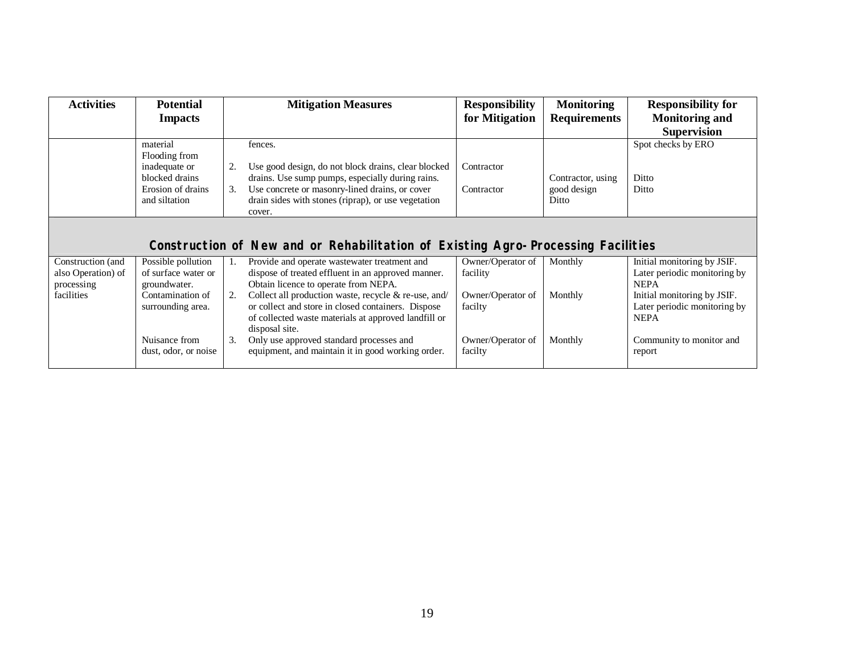| <b>Activities</b>                                                                | <b>Potential</b><br><b>Impacts</b>                        | <b>Mitigation Measures</b>                                                                                                                                                                 | <b>Responsibility</b><br>for Mitigation | <b>Monitoring</b><br><b>Requirements</b> | <b>Responsibility for</b><br><b>Monitoring and</b>                         |  |  |  |  |
|----------------------------------------------------------------------------------|-----------------------------------------------------------|--------------------------------------------------------------------------------------------------------------------------------------------------------------------------------------------|-----------------------------------------|------------------------------------------|----------------------------------------------------------------------------|--|--|--|--|
|                                                                                  |                                                           |                                                                                                                                                                                            |                                         |                                          | <b>Supervision</b>                                                         |  |  |  |  |
|                                                                                  | material                                                  | fences.                                                                                                                                                                                    |                                         |                                          | Spot checks by ERO                                                         |  |  |  |  |
|                                                                                  | Flooding from<br>inadequate or                            | 2.<br>Use good design, do not block drains, clear blocked                                                                                                                                  | Contractor                              |                                          |                                                                            |  |  |  |  |
|                                                                                  | blocked drains                                            | drains. Use sump pumps, especially during rains.                                                                                                                                           |                                         | Contractor, using                        | Ditto                                                                      |  |  |  |  |
|                                                                                  | Erosion of drains                                         | Use concrete or masonry-lined drains, or cover<br>3.                                                                                                                                       | Contractor                              | good design                              | Ditto                                                                      |  |  |  |  |
|                                                                                  | and siltation                                             | drain sides with stones (riprap), or use vegetation<br>cover.                                                                                                                              |                                         | Ditto                                    |                                                                            |  |  |  |  |
| Construction of New and or Rehabilitation of Existing Agro-Processing Facilities |                                                           |                                                                                                                                                                                            |                                         |                                          |                                                                            |  |  |  |  |
| Construction (and<br>also Operation) of<br>processing                            | Possible pollution<br>of surface water or<br>groundwater. | Provide and operate wastewater treatment and<br>dispose of treated effluent in an approved manner.<br>Obtain licence to operate from NEPA.                                                 | Owner/Operator of<br>facility           | Monthly                                  | Initial monitoring by JSIF.<br>Later periodic monitoring by<br><b>NEPA</b> |  |  |  |  |
| facilities                                                                       | Contamination of<br>surrounding area.                     | 2.<br>Collect all production waste, recycle & re-use, and/<br>or collect and store in closed containers. Dispose<br>of collected waste materials at approved landfill or<br>disposal site. | Owner/Operator of<br>facilty            | Monthly                                  | Initial monitoring by JSIF.<br>Later periodic monitoring by<br><b>NEPA</b> |  |  |  |  |
|                                                                                  | Nuisance from<br>dust, odor, or noise                     | 3.<br>Only use approved standard processes and<br>equipment, and maintain it in good working order.                                                                                        | Owner/Operator of<br>facilty            | Monthly                                  | Community to monitor and<br>report                                         |  |  |  |  |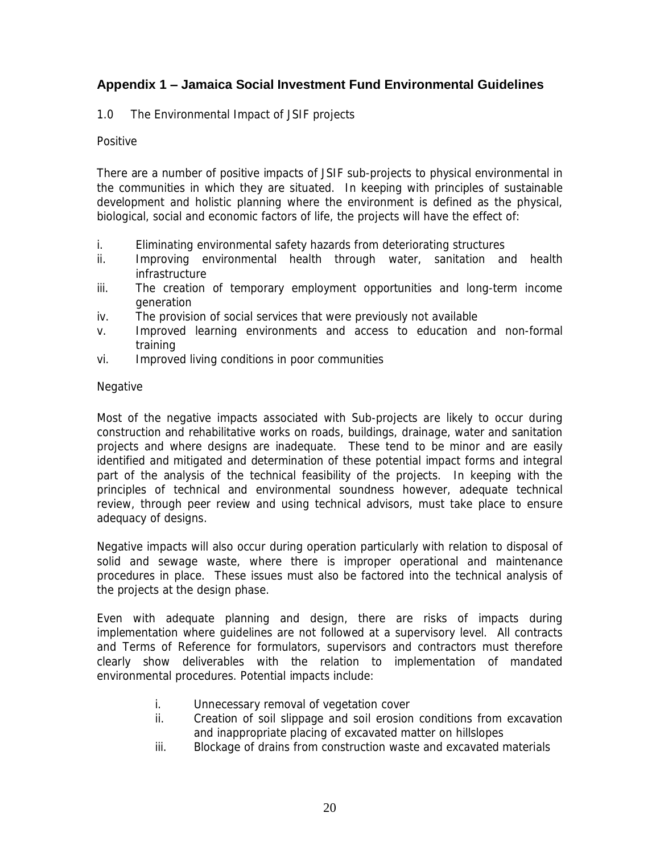# **Appendix 1 ± Jamaica Social Investment Fund Environmental Guidelines**

# 1.0 The Environmental Impact of JSIF projects

# Positive

There are a number of positive impacts of JSIF sub-projects to physical environmental in the communities in which they are situated. In keeping with principles of sustainable development and holistic planning where the environment is defined as the physical, biological, social and economic factors of life, the projects will have the effect of:

- i. Eliminating environmental safety hazards from deteriorating structures
- ii. Improving environmental health through water, sanitation and health infrastructure
- iii. The creation of temporary employment opportunities and long-term income generation
- iv. The provision of social services that were previously not available
- v. Improved learning environments and access to education and non-formal training
- vi. Improved living conditions in poor communities

# Negative

Most of the negative impacts associated with Sub-projects are likely to occur during construction and rehabilitative works on roads, buildings, drainage, water and sanitation projects and where designs are inadequate. These tend to be minor and are easily identified and mitigated and determination of these potential impact forms and integral part of the analysis of the technical feasibility of the projects. In keeping with the principles of technical and environmental soundness however, adequate technical review, through peer review and using technical advisors, must take place to ensure adequacy of designs.

Negative impacts will also occur during operation particularly with relation to disposal of solid and sewage waste, where there is improper operational and maintenance procedures in place. These issues must also be factored into the technical analysis of the projects at the design phase.

Even with adequate planning and design, there are risks of impacts during implementation where guidelines are not followed at a supervisory level. All contracts and Terms of Reference for formulators, supervisors and contractors must therefore clearly show deliverables with the relation to implementation of mandated environmental procedures. Potential impacts include:

- i. Unnecessary removal of vegetation cover
- ii. Creation of soil slippage and soil erosion conditions from excavation and inappropriate placing of excavated matter on hillslopes
- iii. Blockage of drains from construction waste and excavated materials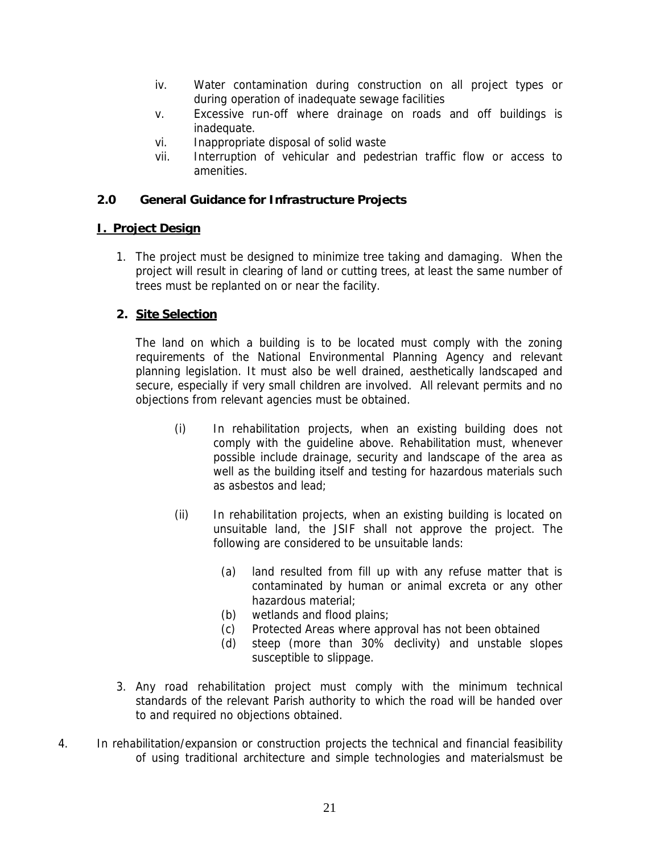- iv. Water contamination during construction on all project types or during operation of inadequate sewage facilities
- v. Excessive run-off where drainage on roads and off buildings is inadequate.
- vi. Inappropriate disposal of solid waste
- vii. Interruption of vehicular and pedestrian traffic flow or access to amenities.
- **2.0 General Guidance for Infrastructure Projects**

## **I. Project Design**

- 1. The project must be designed to minimize tree taking and damaging. When the project will result in clearing of land or cutting trees, at least the same number of trees must be replanted on or near the facility.
- **2. Site Selection**

The land on which a building is to be located must comply with the zoning requirements of the National Environmental Planning Agency and relevant planning legislation. It must also be well drained, aesthetically landscaped and secure, especially if very small children are involved. All relevant permits and no objections from relevant agencies must be obtained.

- (i) In rehabilitation projects, when an existing building does not comply with the guideline above. Rehabilitation must, whenever possible include drainage, security and landscape of the area as well as the building itself and testing for hazardous materials such as asbestos and lead;
- (ii) In rehabilitation projects, when an existing building is located on unsuitable land, the JSIF shall not approve the project. The following are considered to be unsuitable lands:
	- (a) land resulted from fill up with any refuse matter that is contaminated by human or animal excreta or any other hazardous material;
	- (b) wetlands and flood plains;
	- (c) Protected Areas where approval has not been obtained
	- (d) steep (more than 30% declivity) and unstable slopes susceptible to slippage.
- 3. Any road rehabilitation project must comply with the minimum technical standards of the relevant Parish authority to which the road will be handed over to and required no objections obtained.
- 4. In rehabilitation/expansion or construction projects the technical and financial feasibility of using traditional architecture and simple technologies and materialsmust be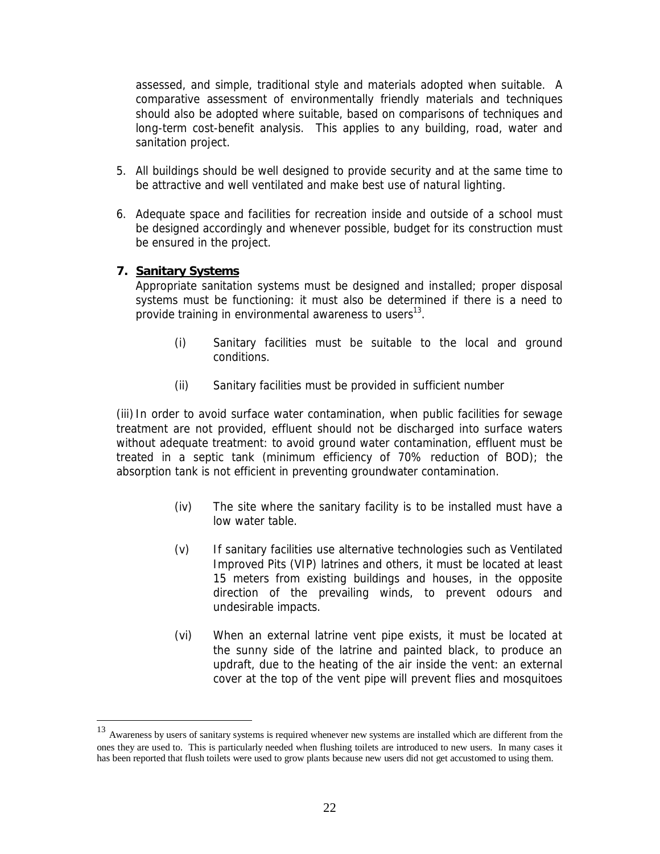assessed, and simple, traditional style and materials adopted when suitable. A comparative assessment of environmentally friendly materials and techniques should also be adopted where suitable, based on comparisons of techniques and long-term cost-benefit analysis. This applies to any building, road, water and sanitation project.

- 5. All buildings should be well designed to provide security and at the same time to be attractive and well ventilated and make best use of natural lighting.
- 6. Adequate space and facilities for recreation inside and outside of a school must be designed accordingly and whenever possible, budget for its construction must be ensured in the project.
- **7. Sanitary Systems**

Appropriate sanitation systems must be designed and installed; proper disposal systems must be functioning: it must also be determined if there is a need to provide training in environmental awareness to users $^{13}$ .

- (i) Sanitary facilities must be suitable to the local and ground conditions.
- (ii) Sanitary facilities must be provided in sufficient number

(iii) In order to avoid surface water contamination, when public facilities for sewage treatment are not provided, effluent should not be discharged into surface waters without adequate treatment: to avoid ground water contamination, effluent must be treated in a septic tank (minimum efficiency of 70% reduction of BOD); the absorption tank is not efficient in preventing groundwater contamination.

- (iv) The site where the sanitary facility is to be installed must have a low water table.
- (v) If sanitary facilities use alternative technologies such as Ventilated Improved Pits (VIP) latrines and others, it must be located at least 15 meters from existing buildings and houses, in the opposite direction of the prevailing winds, to prevent odours and undesirable impacts.
- (vi) When an external latrine vent pipe exists, it must be located at the sunny side of the latrine and painted black, to produce an updraft, due to the heating of the air inside the vent: an external cover at the top of the vent pipe will prevent flies and mosquitoes

<sup>&</sup>lt;sup>13</sup> Awareness by users of sanitary systems is required whenever new systems are installed which are different from the ones they are used to. This is particularly needed when flushing toilets are introduced to new users. In many cases it has been reported that flush toilets were used to grow plants because new users did not get accustomed to using them.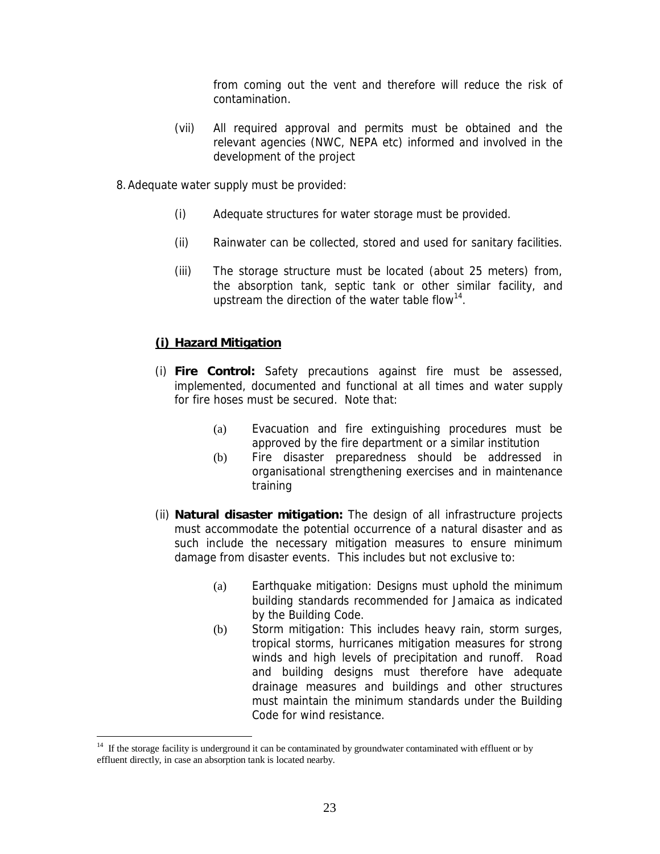from coming out the vent and therefore will reduce the risk of contamination.

- (vii) All required approval and permits must be obtained and the relevant agencies (NWC, NEPA etc) informed and involved in the development of the project
- 8. Adequate water supply must be provided:
	- (i) Adequate structures for water storage must be provided.
	- (ii) Rainwater can be collected, stored and used for sanitary facilities.
	- (iii) The storage structure must be located (about 25 meters) from, the absorption tank, septic tank or other similar facility, and upstream the direction of the water table flow<sup>14</sup>.

## **(i) Hazard Mitigation**

- (i) **Fire Control:** Safety precautions against fire must be assessed, implemented, documented and functional at all times and water supply for fire hoses must be secured. Note that:
	- (a) Evacuation and fire extinguishing procedures must be approved by the fire department or a similar institution
	- (b) Fire disaster preparedness should be addressed in organisational strengthening exercises and in maintenance training
- (ii) **Natural disaster mitigation:** The design of all infrastructure projects must accommodate the potential occurrence of a natural disaster and as such include the necessary mitigation measures to ensure minimum damage from disaster events. This includes but not exclusive to:
	- (a) Earthquake mitigation: Designs must uphold the minimum building standards recommended for Jamaica as indicated by the Building Code.
	- (b) Storm mitigation: This includes heavy rain, storm surges, tropical storms, hurricanes mitigation measures for strong winds and high levels of precipitation and runoff. Road and building designs must therefore have adequate drainage measures and buildings and other structures must maintain the minimum standards under the Building Code for wind resistance.

<sup>14</sup> If the storage facility is underground it can be contaminated by groundwater contaminated with effluent or by effluent directly, in case an absorption tank is located nearby.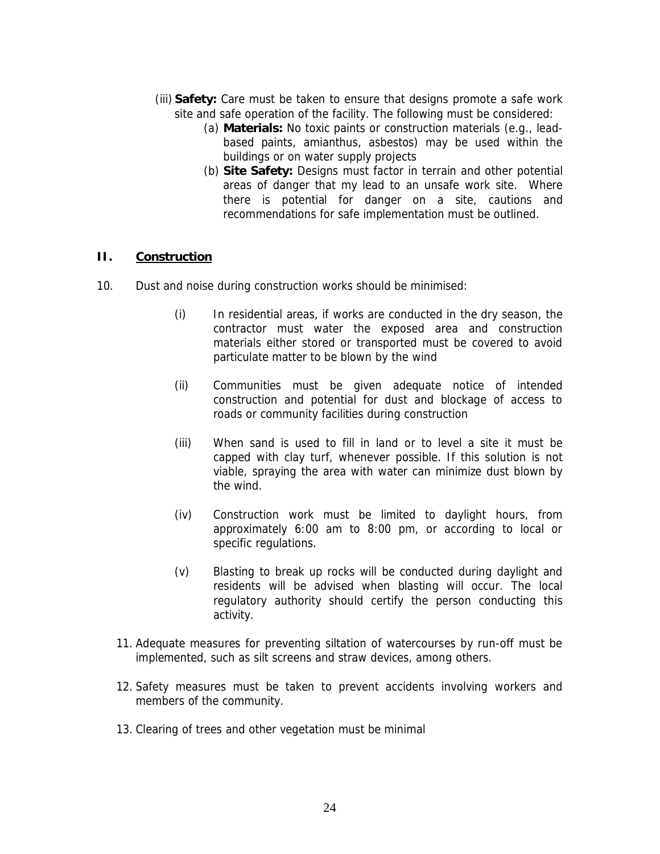- (iii) **Safety:** Care must be taken to ensure that designs promote a safe work site and safe operation of the facility. The following must be considered:
	- (a) **Materials:** No toxic paints or construction materials (e.g., leadbased paints, amianthus, asbestos) may be used within the buildings or on water supply projects
	- (b) **Site Safety:** Designs must factor in terrain and other potential areas of danger that my lead to an unsafe work site. Where there is potential for danger on a site, cautions and recommendations for safe implementation must be outlined.

# **II. Construction**

- 10. Dust and noise during construction works should be minimised:
	- (i) In residential areas, if works are conducted in the dry season, the contractor must water the exposed area and construction materials either stored or transported must be covered to avoid particulate matter to be blown by the wind
	- (ii) Communities must be given adequate notice of intended construction and potential for dust and blockage of access to roads or community facilities during construction
	- (iii) When sand is used to fill in land or to level a site it must be capped with clay turf, whenever possible. If this solution is not viable, spraying the area with water can minimize dust blown by the wind.
	- (iv) Construction work must be limited to daylight hours, from approximately 6:00 am to 8:00 pm, or according to local or specific regulations.
	- (v) Blasting to break up rocks will be conducted during daylight and residents will be advised when blasting will occur. The local regulatory authority should certify the person conducting this activity.
	- 11. Adequate measures for preventing siltation of watercourses by run-off must be implemented, such as silt screens and straw devices, among others.
	- 12. Safety measures must be taken to prevent accidents involving workers and members of the community.
	- 13. Clearing of trees and other vegetation must be minimal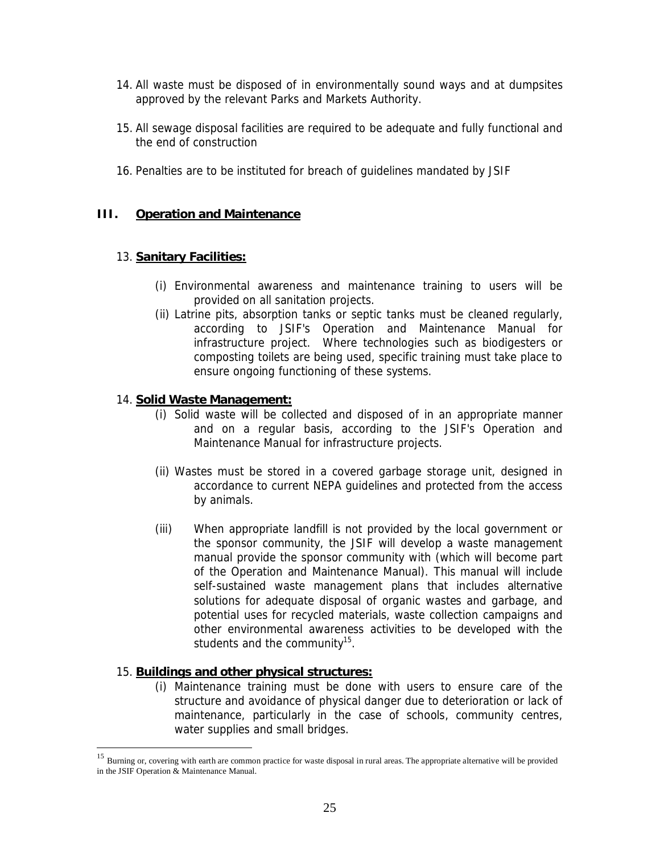- 14. All waste must be disposed of in environmentally sound ways and at dumpsites approved by the relevant Parks and Markets Authority.
- 15. All sewage disposal facilities are required to be adequate and fully functional and the end of construction
- 16. Penalties are to be instituted for breach of guidelines mandated by JSIF

# **III. Operation and Maintenance**

# 13. **Sanitary Facilities:**

- (i) Environmental awareness and maintenance training to users will be provided on all sanitation projects.
- (ii) Latrine pits, absorption tanks or septic tanks must be cleaned regularly, according to JSIF's Operation and Maintenance Manual for infrastructure project. Where technologies such as biodigesters or composting toilets are being used, specific training must take place to ensure ongoing functioning of these systems.

# 14. **Solid Waste Management:**

- (i) Solid waste will be collected and disposed of in an appropriate manner and on a regular basis, according to the JSIF's Operation and Maintenance Manual for infrastructure projects.
- (ii) Wastes must be stored in a covered garbage storage unit, designed in accordance to current NEPA guidelines and protected from the access by animals.
- (iii) When appropriate landfill is not provided by the local government or the sponsor community, the JSIF will develop a waste management manual provide the sponsor community with (which will become part of the Operation and Maintenance Manual). This manual will include self-sustained waste management plans that includes alternative solutions for adequate disposal of organic wastes and garbage, and potential uses for recycled materials, waste collection campaigns and other environmental awareness activities to be developed with the students and the community<sup>15</sup>.

# 15. **Buildings and other physical structures:**

(i) Maintenance training must be done with users to ensure care of the structure and avoidance of physical danger due to deterioration or lack of maintenance, particularly in the case of schools, community centres, water supplies and small bridges.

<sup>&</sup>lt;sup>15</sup> Burning or, covering with earth are common practice for waste disposal in rural areas. The appropriate alternative will be provided in the JSIF Operation & Maintenance Manual.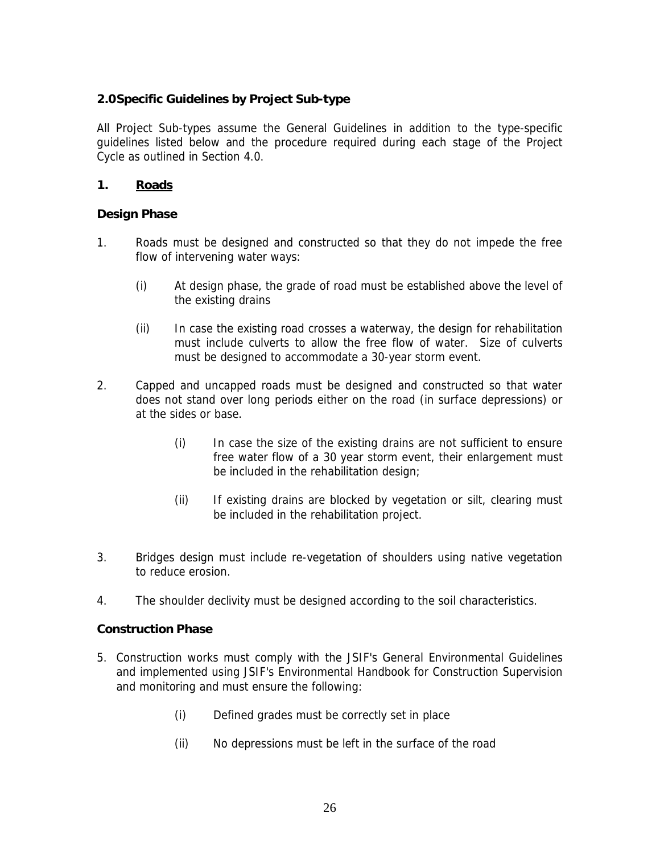## **2.0 Specific Guidelines by Project Sub-type**

All Project Sub-types assume the General Guidelines in addition to the type-specific guidelines listed below and the procedure required during each stage of the Project Cycle as outlined in Section 4.0.

## **1. Roads**

**Design Phase**

- 1. Roads must be designed and constructed so that they do not impede the free flow of intervening water ways:
	- (i) At design phase, the grade of road must be established above the level of the existing drains
	- (ii) In case the existing road crosses a waterway, the design for rehabilitation must include culverts to allow the free flow of water. Size of culverts must be designed to accommodate a 30-year storm event.
- 2. Capped and uncapped roads must be designed and constructed so that water does not stand over long periods either on the road (in surface depressions) or at the sides or base.
	- (i) In case the size of the existing drains are not sufficient to ensure free water flow of a 30 year storm event, their enlargement must be included in the rehabilitation design;
	- (ii) If existing drains are blocked by vegetation or silt, clearing must be included in the rehabilitation project.
- 3. Bridges design must include re-vegetation of shoulders using native vegetation to reduce erosion.
- 4. The shoulder declivity must be designed according to the soil characteristics.

**Construction Phase**

- 5. Construction works must comply with the JSIF's General Environmental Guidelines and implemented using JSIF's Environmental Handbook for Construction Supervision and monitoring and must ensure the following:
	- (i) Defined grades must be correctly set in place
	- (ii) No depressions must be left in the surface of the road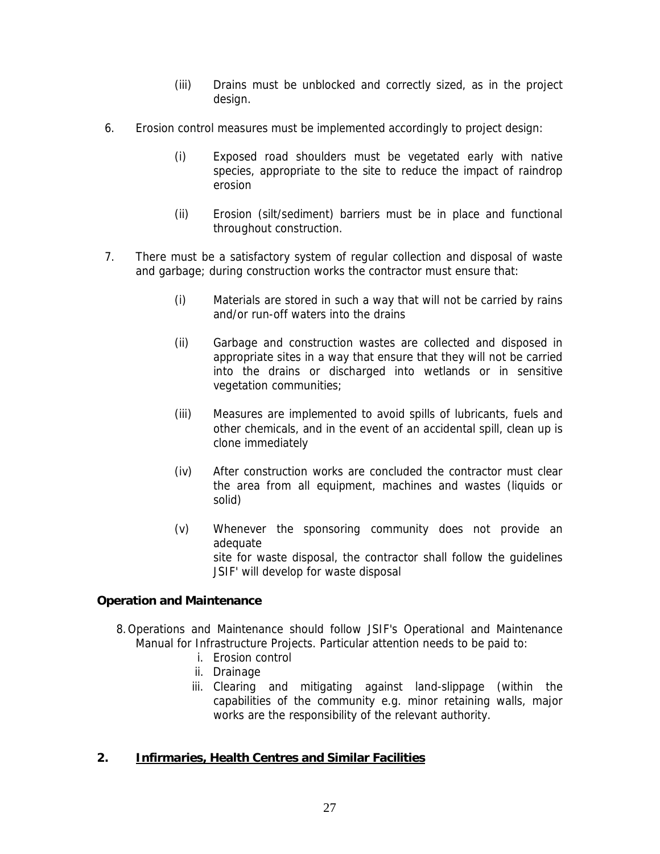- (iii) Drains must be unblocked and correctly sized, as in the project design.
- 6. Erosion control measures must be implemented accordingly to project design:
	- (i) Exposed road shoulders must be vegetated early with native species, appropriate to the site to reduce the impact of raindrop erosion
	- (ii) Erosion (silt/sediment) barriers must be in place and functional throughout construction.
- 7. There must be a satisfactory system of regular collection and disposal of waste and garbage; during construction works the contractor must ensure that:
	- (i) Materials are stored in such a way that will not be carried by rains and/or run-off waters into the drains
	- (ii) Garbage and construction wastes are collected and disposed in appropriate sites in a way that ensure that they will not be carried into the drains or discharged into wetlands or in sensitive vegetation communities;
	- (iii) Measures are implemented to avoid spills of lubricants, fuels and other chemicals, and in the event of an accidental spill, clean up is clone immediately
	- (iv) After construction works are concluded the contractor must clear the area from all equipment, machines and wastes (liquids or solid)
	- (v) Whenever the sponsoring community does not provide an adequate site for waste disposal, the contractor shall follow the guidelines JSIF' will develop for waste disposal

**Operation and Maintenance**

- 8. Operations and Maintenance should follow JSIF's Operational and Maintenance Manual for Infrastructure Projects. Particular attention needs to be paid to:
	- i. Erosion control
	- ii. Drainage
	- iii. Clearing and mitigating against land-slippage (within the capabilities of the community e.g. minor retaining walls, major works are the responsibility of the relevant authority.
- **2. Infirmaries, Health Centres and Similar Facilities**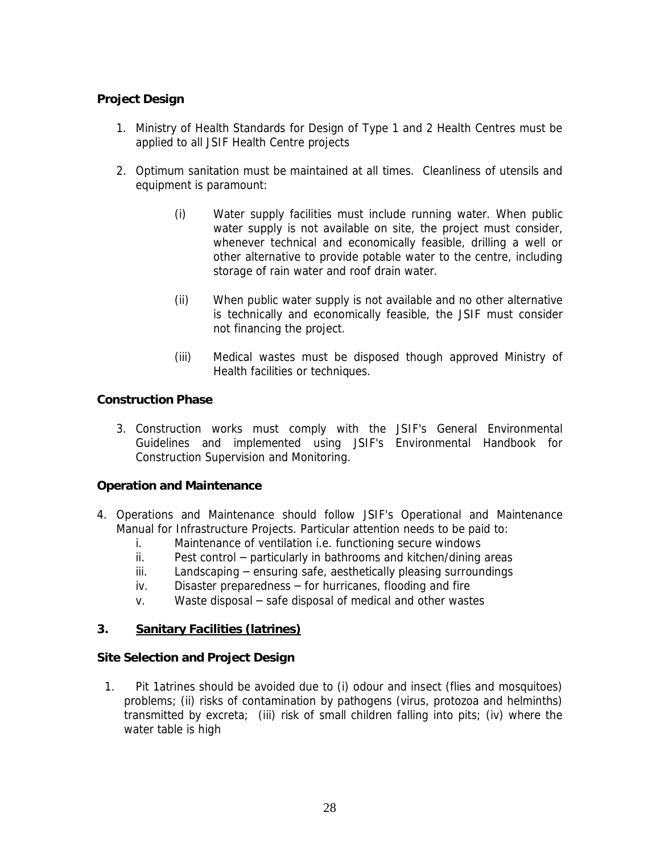# **Project Design**

- 1. Ministry of Health Standards for Design of Type 1 and 2 Health Centres must be applied to all JSIF Health Centre projects
- 2. Optimum sanitation must be maintained at all times. Cleanliness of utensils and equipment is paramount:
	- (i) Water supply facilities must include running water. When public water supply is not available on site, the project must consider, whenever technical and economically feasible, drilling a well or other alternative to provide potable water to the centre, including storage of rain water and roof drain water.
	- (ii) When public water supply is not available and no other alternative is technically and economically feasible, the JSIF must consider not financing the project.
	- (iii) Medical wastes must be disposed though approved Ministry of Health facilities or techniques.

**Construction Phase**

3. Construction works must comply with the JSIF's General Environmental Guidelines and implemented using JSIF's Environmental Handbook for Construction Supervision and Monitoring.

**Operation and Maintenance**

- 4. Operations and Maintenance should follow JSIF's Operational and Maintenance Manual for Infrastructure Projects. Particular attention needs to be paid to:
	- i. Maintenance of ventilation i.e. functioning secure windows
	- $ii.$  Pest control  $-$  particularly in bathrooms and kitchen/dining areas
	- $iii.$  Landscaping  $-$  ensuring safe, aesthetically pleasing surroundings
	- $iv.$  Disaster preparedness  $-$  for hurricanes, flooding and fire
	- $v.$  Waste disposal  $-$  safe disposal of medical and other wastes
- **3. Sanitary Facilities (latrines)**

**Site Selection and Project Design**

1. Pit 1atrines should be avoided due to (i) odour and insect (flies and mosquitoes) problems; (ii) risks of contamination by pathogens (virus, protozoa and helminths) transmitted by excreta; (iii) risk of small children falling into pits; (iv) where the water table is high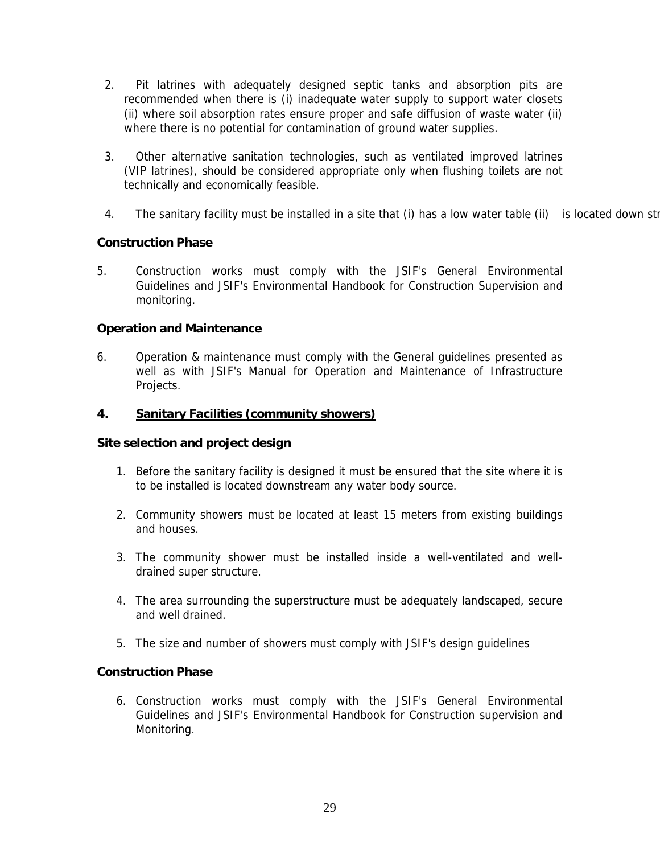- 2. Pit latrines with adequately designed septic tanks and absorption pits are recommended when there is (i) inadequate water supply to support water closets (ii) where soil absorption rates ensure proper and safe diffusion of waste water (ii) where there is no potential for contamination of ground water supplies.
- 3. Other alternative sanitation technologies, such as ventilated improved latrines (VIP latrines), should be considered appropriate only when flushing toilets are not technically and economically feasible.
- 4. The sanitary facility must be installed in a site that (i) has a low water table (ii) is located down stream

# **Construction Phase**

5. Construction works must comply with the JSIF's General Environmental Guidelines and JSIF's Environmental Handbook for Construction Supervision and monitoring.

## **Operation and Maintenance**

- 6. Operation & maintenance must comply with the General guidelines presented as well as with JSIF's Manual for Operation and Maintenance of Infrastructure Projects.
- **4. Sanitary Facilities (community showers)**

**Site selection and project design**

- 1. Before the sanitary facility is designed it must be ensured that the site where it is to be installed is located downstream any water body source.
- 2. Community showers must be located at least 15 meters from existing buildings and houses.
- 3. The community shower must be installed inside a well-ventilated and welldrained super structure.
- 4. The area surrounding the superstructure must be adequately landscaped, secure and well drained.
- 5. The size and number of showers must comply with JSIF's design guidelines

## **Construction Phase**

6. Construction works must comply with the JSIF's General Environmental Guidelines and JSIF's Environmental Handbook for Construction supervision and Monitoring.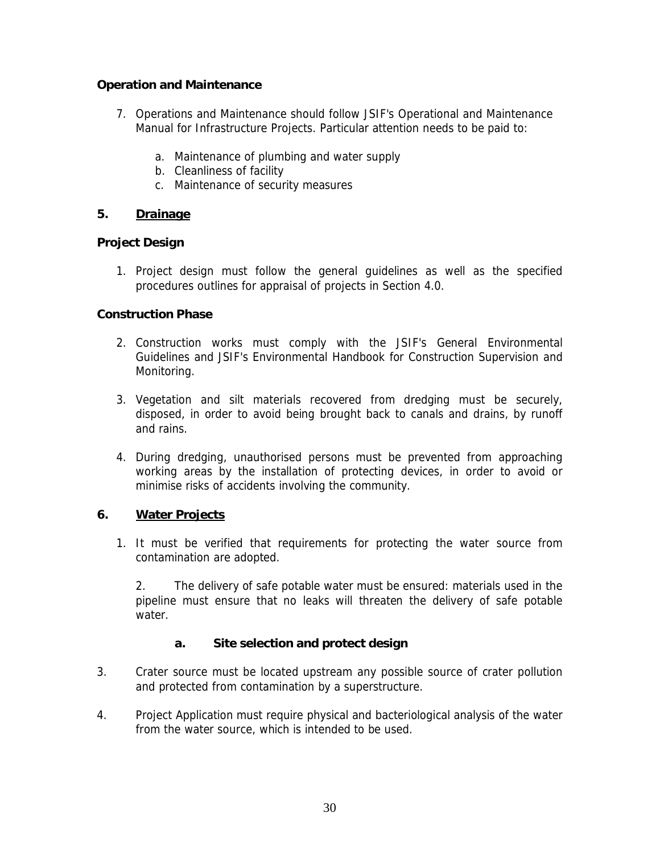**Operation and Maintenance**

- 7. Operations and Maintenance should follow JSIF's Operational and Maintenance Manual for Infrastructure Projects. Particular attention needs to be paid to:
	- a. Maintenance of plumbing and water supply
	- b. Cleanliness of facility
	- c. Maintenance of security measures
- **5. Drainage**

**Project Design**

1. Project design must follow the general guidelines as well as the specified procedures outlines for appraisal of projects in Section 4.0.

# **Construction Phase**

- 2. Construction works must comply with the JSIF's General Environmental Guidelines and JSIF's Environmental Handbook for Construction Supervision and Monitoring.
- 3. Vegetation and silt materials recovered from dredging must be securely, disposed, in order to avoid being brought back to canals and drains, by runoff and rains.
- 4. During dredging, unauthorised persons must be prevented from approaching working areas by the installation of protecting devices, in order to avoid or minimise risks of accidents involving the community.

## **6. Water Projects**

1. It must be verified that requirements for protecting the water source from contamination are adopted.

2. The delivery of safe potable water must be ensured: materials used in the pipeline must ensure that no leaks will threaten the delivery of safe potable water.

- **a. Site selection and protect design**
- 3. Crater source must be located upstream any possible source of crater pollution and protected from contamination by a superstructure.
- 4. Project Application must require physical and bacteriological analysis of the water from the water source, which is intended to be used.